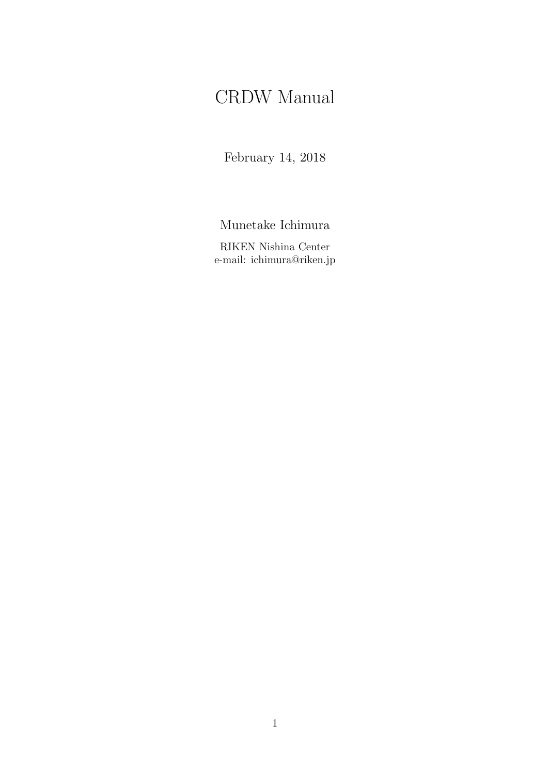# CRDW Manual

February 14, 2018

Munetake Ichimura

RIKEN Nishina Center e-mail: ichimura@riken.jp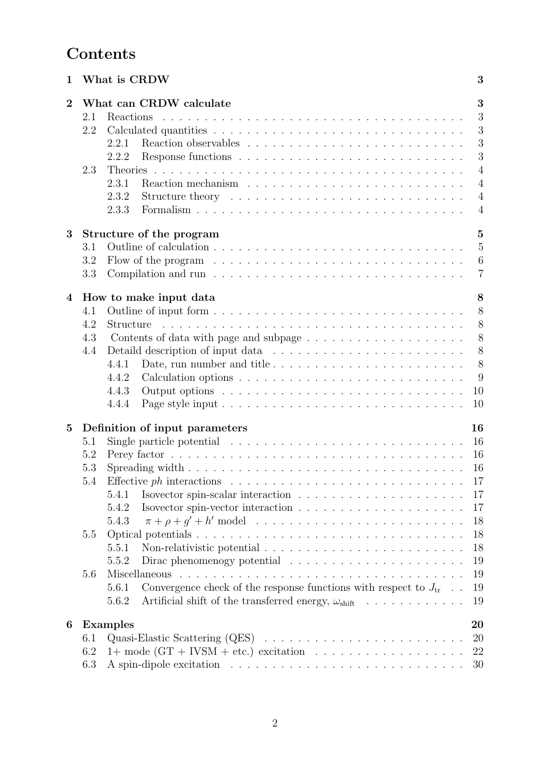# **Contents**

| 1              |     | What is CRDW                                                                                | 3              |  |  |  |  |  |  |  |  |  |
|----------------|-----|---------------------------------------------------------------------------------------------|----------------|--|--|--|--|--|--|--|--|--|
| $\overline{2}$ |     | What can CRDW calculate                                                                     | 3              |  |  |  |  |  |  |  |  |  |
|                | 2.1 |                                                                                             | 3              |  |  |  |  |  |  |  |  |  |
|                | 2.2 |                                                                                             | 3              |  |  |  |  |  |  |  |  |  |
|                |     | 2.2.1                                                                                       | 3              |  |  |  |  |  |  |  |  |  |
|                |     | 2.2.2                                                                                       | 3              |  |  |  |  |  |  |  |  |  |
|                | 2.3 |                                                                                             | $\overline{4}$ |  |  |  |  |  |  |  |  |  |
|                |     | 2.3.1                                                                                       | $\overline{4}$ |  |  |  |  |  |  |  |  |  |
|                |     | 2.3.2                                                                                       | $\overline{4}$ |  |  |  |  |  |  |  |  |  |
|                |     | 2.3.3                                                                                       | $\overline{4}$ |  |  |  |  |  |  |  |  |  |
| 3              |     | Structure of the program                                                                    | $\overline{5}$ |  |  |  |  |  |  |  |  |  |
|                | 3.1 |                                                                                             | $\overline{5}$ |  |  |  |  |  |  |  |  |  |
|                | 3.2 | Flow of the program $\ldots \ldots \ldots \ldots \ldots \ldots \ldots \ldots \ldots \ldots$ | 6              |  |  |  |  |  |  |  |  |  |
|                | 3.3 |                                                                                             | $\overline{7}$ |  |  |  |  |  |  |  |  |  |
| $\overline{4}$ |     | How to make input data                                                                      | 8              |  |  |  |  |  |  |  |  |  |
|                | 4.1 |                                                                                             | 8              |  |  |  |  |  |  |  |  |  |
|                | 4.2 | Structure                                                                                   | 8              |  |  |  |  |  |  |  |  |  |
|                | 4.3 |                                                                                             | 8              |  |  |  |  |  |  |  |  |  |
|                | 4.4 |                                                                                             | 8              |  |  |  |  |  |  |  |  |  |
|                |     | Date, run number and title<br>4.4.1                                                         | 8              |  |  |  |  |  |  |  |  |  |
|                |     | 4.4.2                                                                                       | 9              |  |  |  |  |  |  |  |  |  |
|                |     | 4.4.3                                                                                       | 10             |  |  |  |  |  |  |  |  |  |
|                |     | 4.4.4                                                                                       | 10             |  |  |  |  |  |  |  |  |  |
|                |     |                                                                                             |                |  |  |  |  |  |  |  |  |  |
| $\overline{5}$ |     | 16<br>Definition of input parameters                                                        |                |  |  |  |  |  |  |  |  |  |
|                | 5.1 | Single particle potential $\ldots \ldots \ldots \ldots \ldots \ldots \ldots \ldots \ldots$  | 16             |  |  |  |  |  |  |  |  |  |
|                | 5.2 |                                                                                             | 16             |  |  |  |  |  |  |  |  |  |
|                | 5.3 |                                                                                             | 16             |  |  |  |  |  |  |  |  |  |
|                | 5.4 |                                                                                             | 17             |  |  |  |  |  |  |  |  |  |
|                |     | 5.4.1                                                                                       | 17             |  |  |  |  |  |  |  |  |  |
|                |     | 5.4.2                                                                                       | 17             |  |  |  |  |  |  |  |  |  |
|                |     | 5.4.3                                                                                       | 18             |  |  |  |  |  |  |  |  |  |
|                | 5.5 |                                                                                             | 18             |  |  |  |  |  |  |  |  |  |
|                |     | 5.5.1                                                                                       | 18             |  |  |  |  |  |  |  |  |  |
|                |     | Dirac phenomenogy potential<br>5.5.2                                                        | 19             |  |  |  |  |  |  |  |  |  |
|                | 5.6 |                                                                                             | 19             |  |  |  |  |  |  |  |  |  |
|                |     | Convergence check of the response functions with respect to $J_{\rm tr}$<br>5.6.1           | 19             |  |  |  |  |  |  |  |  |  |
|                |     | Artificial shift of the transferred energy, $\omega_{\text{shift}}$<br>5.6.2                | 19             |  |  |  |  |  |  |  |  |  |
| 6              |     | <b>Examples</b>                                                                             | 20             |  |  |  |  |  |  |  |  |  |
|                | 6.1 |                                                                                             | <b>20</b>      |  |  |  |  |  |  |  |  |  |
|                | 6.2 |                                                                                             | 22             |  |  |  |  |  |  |  |  |  |
|                | 6.3 |                                                                                             | 30             |  |  |  |  |  |  |  |  |  |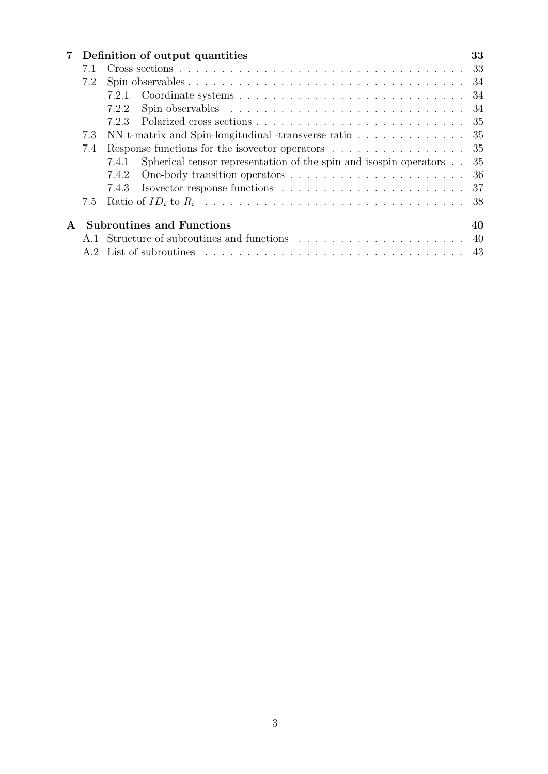| $7\,$        |     | Definition of output quantities                                                                        |     |  |  |  |  |  |  |  |
|--------------|-----|--------------------------------------------------------------------------------------------------------|-----|--|--|--|--|--|--|--|
|              |     |                                                                                                        |     |  |  |  |  |  |  |  |
|              | 7.2 |                                                                                                        | -34 |  |  |  |  |  |  |  |
|              |     |                                                                                                        |     |  |  |  |  |  |  |  |
|              |     | Spin observables $\ldots \ldots \ldots \ldots \ldots \ldots \ldots \ldots \ldots \ldots 34$<br>7.2.2   |     |  |  |  |  |  |  |  |
|              |     | 7.2.3                                                                                                  |     |  |  |  |  |  |  |  |
|              | 7.3 | NN t-matrix and Spin-longitudinal -transverse ratio $\dots \dots \dots \dots$                          |     |  |  |  |  |  |  |  |
|              | 7.4 | Response functions for the isovector operators $\dots \dots \dots \dots \dots$                         |     |  |  |  |  |  |  |  |
|              |     | Spherical tensor representation of the spin and isospin operators 35<br>7.4.1                          |     |  |  |  |  |  |  |  |
|              |     | 7.4.2                                                                                                  |     |  |  |  |  |  |  |  |
|              |     | 7.4.3                                                                                                  |     |  |  |  |  |  |  |  |
|              | 7.5 |                                                                                                        |     |  |  |  |  |  |  |  |
| $\mathbf{A}$ |     | <b>Subroutines and Functions</b>                                                                       | 40  |  |  |  |  |  |  |  |
|              |     |                                                                                                        |     |  |  |  |  |  |  |  |
|              |     | A.2 List of subroutines $\ldots \ldots \ldots \ldots \ldots \ldots \ldots \ldots \ldots \ldots \ldots$ |     |  |  |  |  |  |  |  |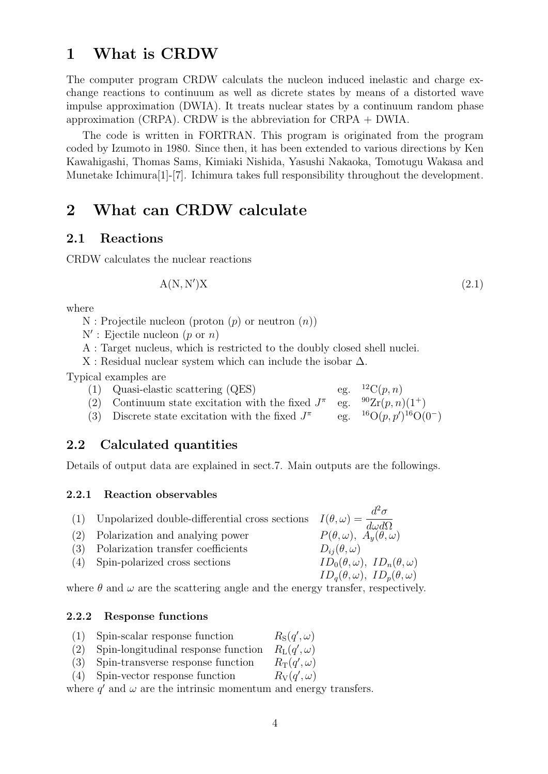## **1 What is CRDW**

The computer program CRDW calculats the nucleon induced inelastic and charge exchange reactions to continuum as well as dicrete states by means of a distorted wave impulse approximation (DWIA). It treats nuclear states by a continuum random phase approximation (CRPA). CRDW is the abbreviation for CRPA + DWIA.

The code is written in FORTRAN. This program is originated from the program coded by Izumoto in 1980. Since then, it has been extended to various directions by Ken Kawahigashi, Thomas Sams, Kimiaki Nishida, Yasushi Nakaoka, Tomotugu Wakasa and Munetake Ichimura[1]-[7]. Ichimura takes full responsibility throughout the development.

## **2 What can CRDW calculate**

### **2.1 Reactions**

CRDW calculates the nuclear reactions

$$
A(N, N')X \tag{2.1}
$$

where

- N : Projectile nucleon (proton (*p*) or neutron (*n*))
- N*′* : Ejectile nucleon (*p* or *n*)
- A : Target nucleus, which is restricted to the doubly closed shell nuclei.

X : Residual nuclear system which can include the isobar ∆.

Typical examples are

- (1) Quasi-elastic scattering (QES) eg.  ${}^{12}C(p, n)$ (2) Continuum state excitation with the fixed  $J^{\pi}$ eg.  $^{90}\text{Zr}(p, n)(1^+)$
- (3) Discrete state excitation with the fixed *J π* eg.  ${}^{16}O(p, p')$ <sup>16</sup> $O(0^-)$

### **2.2 Calculated quantities**

Details of output data are explained in sect.7. Main outputs are the followings.

### **2.2.1 Reaction observables**

|                                    | $d^2\sigma$                                                                                                                                                                         |
|------------------------------------|-------------------------------------------------------------------------------------------------------------------------------------------------------------------------------------|
|                                    | $P(\theta,\omega), A_y(\theta,\omega)$                                                                                                                                              |
| Polarization transfer coefficients | $D_{ij}(\theta,\omega)$                                                                                                                                                             |
|                                    | $ID_0(\theta, \omega), ID_n(\theta, \omega)$                                                                                                                                        |
|                                    | $ID_a(\theta, \omega), ID_p(\theta, \omega)$                                                                                                                                        |
|                                    | (1) Unpolarized double-differential cross sections $I(\theta, \omega) = \frac{\omega}{d\omega d\Omega}$<br>(2) Polarization and analying power<br>(4) Spin-polarized cross sections |

where  $\theta$  and  $\omega$  are the scattering angle and the energy transfer, respectively.

### **2.2.2 Response functions**

- (1) Spin-scalar response function *′ , ω*)
- (2) Spin-longitudinal response function *′ , ω*)
- $(3)$  Spin-transverse response function *′ , ω*)
- (4) Spin-vector response function *′ , ω*)

where  $q'$  and  $\omega$  are the intrinsic momentum and energy transfers.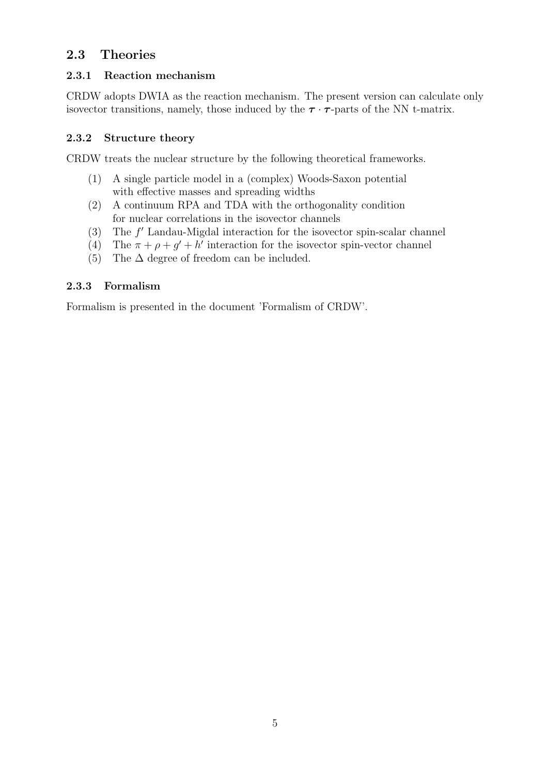## **2.3 Theories**

### **2.3.1 Reaction mechanism**

CRDW adopts DWIA as the reaction mechanism. The present version can calculate only isovector transitions, namely, those induced by the  $\tau \cdot \tau$ -parts of the NN t-matrix.

### **2.3.2 Structure theory**

CRDW treats the nuclear structure by the following theoretical frameworks.

- (1) A single particle model in a (complex) Woods-Saxon potential with effective masses and spreading widths
- (2) A continuum RPA and TDA with the orthogonality condition for nuclear correlations in the isovector channels
- (3) The *f ′* Landau-Migdal interaction for the isovector spin-scalar channel
- (4) The  $\pi + \rho + g' + h'$  interaction for the isovector spin-vector channel
- (5) The  $\Delta$  degree of freedom can be included.

### **2.3.3 Formalism**

Formalism is presented in the document 'Formalism of CRDW'.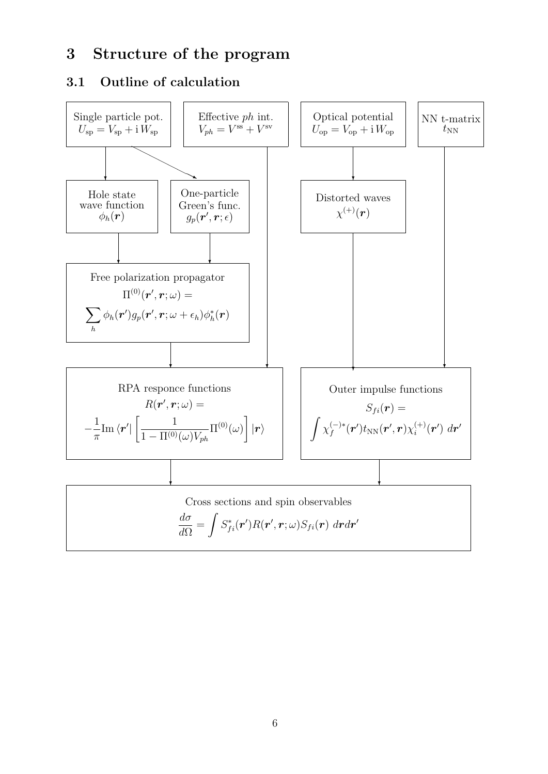## **3 Structure of the program**

## **3.1 Outline of calculation**

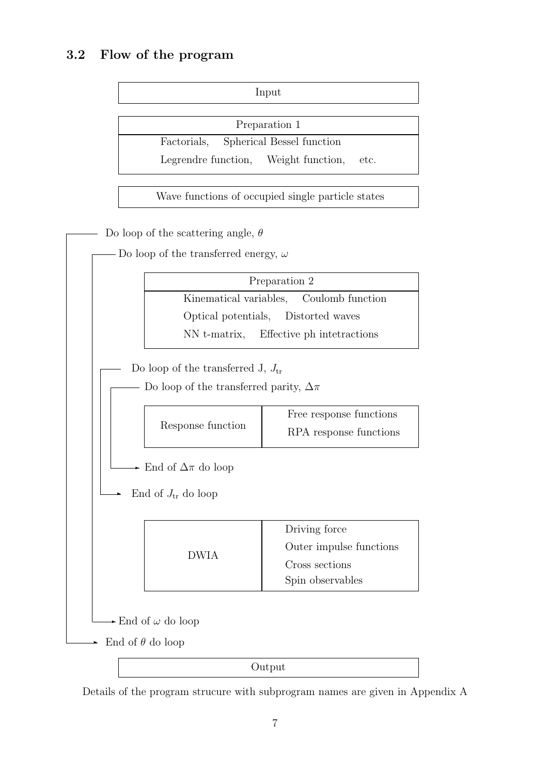## **3.2 Flow of the program**

Input

Preparation 1

Factorials, Spherical Bessel function

Legrendre function, Weight function, etc.

Wave functions of occupied single particle states



Details of the program strucure with subprogram names are given in Appendix A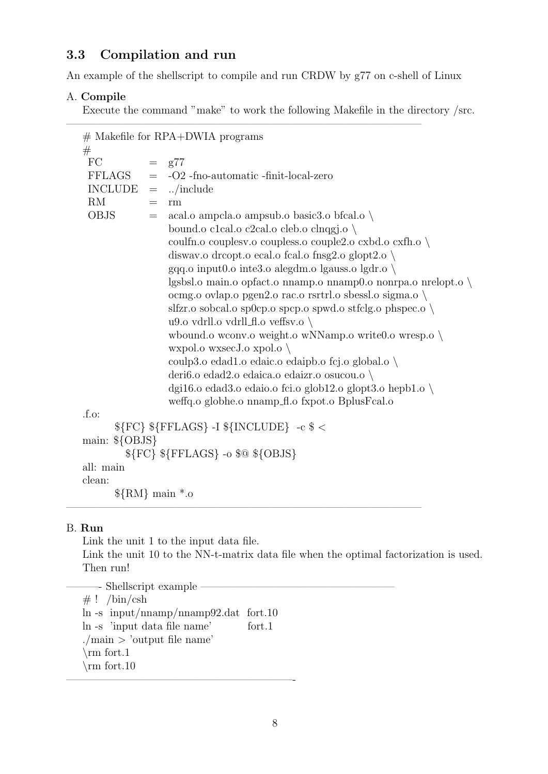## **3.3 Compilation and run**

An example of the shellscript to compile and run CRDW by g77 on c-shell of Linux

### A. **Compile**

Execute the command "make" to work the following Makefile in the directory /src.

|                  | $#$ Makefile for RPA+DWIA programs                                   |
|------------------|----------------------------------------------------------------------|
| #<br>FC          | $=$ $g77$                                                            |
| FFLAGS           | $=$ -O2 -fno-automatic -finit-local-zero                             |
|                  | $INCLUDE = /include$                                                 |
| RM               | rm<br>$=$                                                            |
| <b>OBJS</b>      | acal.o ampela.o ampsub.o basic3.o bfcal.o $\setminus$<br>$=$         |
|                  | bound.o c1cal.o c2cal.o cleb.o clnqgj.o $\setminus$                  |
|                  | coulfn.o coupless.o coupless.o couple2.o cxbd.o cxfh.o $\setminus$   |
|                  | diswav.o dreopt.o ecal.o fcal.o fnsg2.o glopt2.o $\setminus$         |
|                  | gqq.o input $0.\circ$ inte $3.\circ$ alegdm.o lgauss.o lgdr.o \      |
|                  | lgsbsl.o main.o opfact.o nnamp.o nnamp0.o nonrpa.o nrelopt.o         |
|                  | ocmg.o ovlap.o pgen2.o rac.o rsrtrl.o sbessl.o sigma.o \             |
|                  | slfzr.o sobcal.o sp0cp.o spcp.o spwd.o stfclg.o phspec.o $\setminus$ |
|                  | u9.o vdrll.o vdrll_fl.o veffsv.o $\setminus$                         |
|                  | whound o wconv o weight o wNNamp o write 0.0 wresp o \               |
|                  | wxpol.o wxsecJ.o xpol.o $\setminus$                                  |
|                  | coulp3.o edad1.o edaic.o edaipb.o fcj.o global.o \                   |
|                  | deri6.o edad2.o edaica.o edaizr.o osucou.o \                         |
|                  | dgi16.0 edad3.0 edaio.0 fci.0 glob12.0 glopt3.0 hepb1.0 $\setminus$  |
|                  | weffq.o globhe.o nnamp_fl.o fxpot.o BplusFcal.o                      |
| f.o.             |                                                                      |
|                  | \${FC} \${FFLAGS} -I \${INCLUDE} -c \$ <                             |
| main: $\{OBJS\}$ |                                                                      |
|                  | \${FC} \${FFLAGS} -o \$@ \${OBJS}                                    |
| all: main        |                                                                      |
| clean:           |                                                                      |
|                  | $\{RM\}$ main $*$ .0                                                 |

# B. **Run**

Link the unit 1 to the input data file.

Link the unit 10 to the NN-t-matrix data file when the optimal factorization is used. Then run!

 $\frac{1}{\sqrt{2}}$  , and the contract of  $\frac{1}{\sqrt{2}}$  , and  $\frac{1}{\sqrt{2}}$  , and  $\frac{1}{\sqrt{2}}$  , and  $\frac{1}{\sqrt{2}}$  , and  $\frac{1}{\sqrt{2}}$  , and  $\frac{1}{\sqrt{2}}$  , and  $\frac{1}{\sqrt{2}}$  , and  $\frac{1}{\sqrt{2}}$  , and  $\frac{1}{\sqrt{2}}$  , and  $\frac{1}{\sqrt{2}}$  ,

 $-$  Shellscript example  $\#$  ! /bin/csh ln -s input/nnamp/nnamp92.dat fort.10 ln -s 'input data file name' fort.1 ./main *>* 'output file name' *\*rm fort.1 *\*rm fort.10 —————————————————————-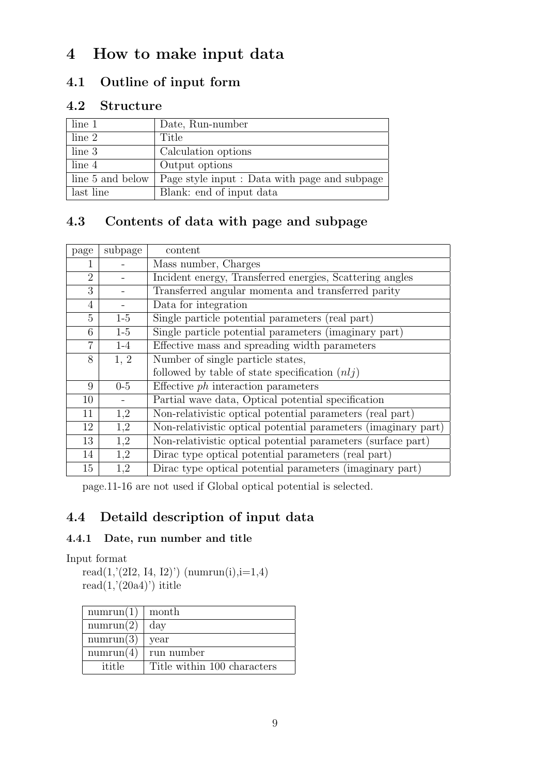# **4 How to make input data**

## **4.1 Outline of input form**

## **4.2 Structure**

| line <sub>1</sub> | Date, Run-number                              |
|-------------------|-----------------------------------------------|
| line 2            | Title                                         |
| line 3            | Calculation options                           |
| line 4            | Output options                                |
| line 5 and below  | Page style input : Data with page and subpage |
| last line         | Blank: end of input data                      |

## **4.3 Contents of data with page and subpage**

| page           | subpage | content                                                        |
|----------------|---------|----------------------------------------------------------------|
|                |         | Mass number, Charges                                           |
| $\overline{2}$ |         | Incident energy, Transferred energies, Scattering angles       |
| 3              |         | Transferred angular momenta and transferred parity             |
| 4              |         | Data for integration                                           |
| 5              | $1-5$   | Single particle potential parameters (real part)               |
| 6              | $1-5$   | Single particle potential parameters (imaginary part)          |
| 7              | $1-4$   | Effective mass and spreading width parameters                  |
| 8              | 1, 2    | Number of single particle states,                              |
|                |         | followed by table of state specification $(n l j)$             |
| 9              | $0-5$   | Effective $ph$ interaction parameters                          |
| 10             |         | Partial wave data, Optical potential specification             |
| 11             | 1,2     | Non-relativistic optical potential parameters (real part)      |
| 12             | 1,2     | Non-relativistic optical potential parameters (imaginary part) |
| 13             | 1,2     | Non-relativistic optical potential parameters (surface part)   |
| 14             | 1,2     | Dirac type optical potential parameters (real part)            |
| 15             | 1,2     | Dirac type optical potential parameters (imaginary part)       |

page.11-16 are not used if Global optical potential is selected.

## **4.4 Detaild description of input data**

## **4.4.1 Date, run number and title**

Input format

read $(1,(2I2, 14, 12))$  (numrun(i), i=1,4) read $(1,'(20a4)')$  ititle

| numrun(1) | month                       |
|-----------|-----------------------------|
| numrun(2) | day                         |
| numrun(3) | year                        |
| numrun(4) | run number                  |
| ititle    | Title within 100 characters |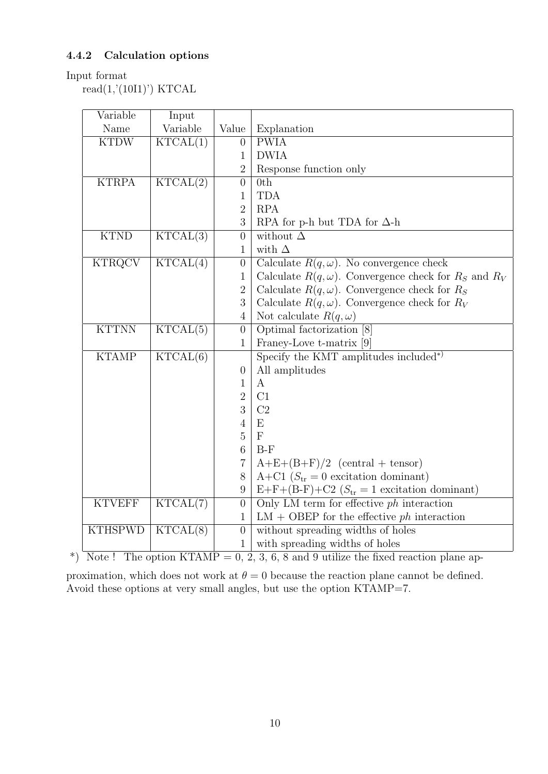### **4.4.2 Calculation options**

### Input format

 $read(1,'(10I1)')$  KTCAL

| Variable       | Input                        |                  |                                                                 |
|----------------|------------------------------|------------------|-----------------------------------------------------------------|
| Name           | Variable                     | Value            | Explanation                                                     |
| <b>KTDW</b>    | KTCAL(1)                     | $\boldsymbol{0}$ | <b>PWIA</b>                                                     |
|                |                              | $\mathbf{1}$     | <b>DWIA</b>                                                     |
|                |                              | $\overline{2}$   | Response function only                                          |
| <b>KTRPA</b>   | KTCAL(2)                     | $\overline{0}$   | 0th                                                             |
|                |                              | $\mathbf{1}$     | <b>TDA</b>                                                      |
|                |                              | $\overline{2}$   | <b>RPA</b>                                                      |
|                |                              | 3                | RPA for p-h but TDA for $\Delta$ -h                             |
| <b>KTND</b>    | KTCAL(3)                     | $\overline{0}$   | without $\Delta$                                                |
|                |                              | $\mathbf{1}$     | with $\Delta$                                                   |
| <b>KTRQCV</b>  | KTCAL(4)                     | $\boldsymbol{0}$ | Calculate $R(q,\omega)$ . No convergence check                  |
|                |                              | $\mathbf{1}$     | Calculate $R(q,\omega)$ . Convergence check for $R_s$ and $R_V$ |
|                |                              | $\sqrt{2}$       | Calculate $R(q,\omega)$ . Convergence check for $R_S$           |
|                |                              | 3                | Calculate $R(q,\omega)$ . Convergence check for $R_V$           |
|                |                              | $\overline{4}$   | Not calculate $R(q,\omega)$                                     |
| <b>KTTNN</b>   | KTCAL(5)                     | $\theta$         | Optimal factorization [8]                                       |
|                |                              | $\mathbf{1}$     | Francy-Love t-matrix [9]                                        |
| <b>KTAMP</b>   | KTCAL(6)                     |                  | Specify the KMT amplitudes included*)                           |
|                |                              | $\overline{0}$   | All amplitudes                                                  |
|                |                              | $\mathbf{1}$     | $\bf{A}$                                                        |
|                |                              | $\overline{2}$   | C1                                                              |
|                |                              | 3                | C2                                                              |
|                |                              | $\overline{4}$   | E                                                               |
|                |                              | $\mathbf 5$      | $\mathbf{F}$                                                    |
|                |                              | $\boldsymbol{6}$ | $B-F$                                                           |
|                |                              | $\overline{7}$   | $A+E+(B+F)/2$ (central + tensor)                                |
|                |                              | $8\,$            | A+C1 ( $S_{\text{tr}} = 0$ excitation dominant)                 |
|                |                              | $\boldsymbol{9}$ | $E+F+(B-F)+C2$ ( $S_{tr}=1$ excitation dominant)                |
| <b>KTVEFF</b>  | KTCAL(7)                     | $\boldsymbol{0}$ | Only LM term for effective $ph$ interaction                     |
|                |                              | $\mathbf{1}$     | $LM + OBEP$ for the effective ph interaction                    |
| <b>KTHSPWD</b> | $KT\overline{\text{CAL}(8)}$ | $\overline{0}$   | without spreading widths of holes                               |
|                |                              | $\mathbf{1}$     | with spreading widths of holes                                  |

\*) Note ! The option  $KTAMP = 0, 2, 3, 6, 8$  and 9 utilize the fixed reaction plane ap-

proximation, which does not work at  $\theta = 0$  because the reaction plane cannot be defined. Avoid these options at very small angles, but use the option KTAMP=7.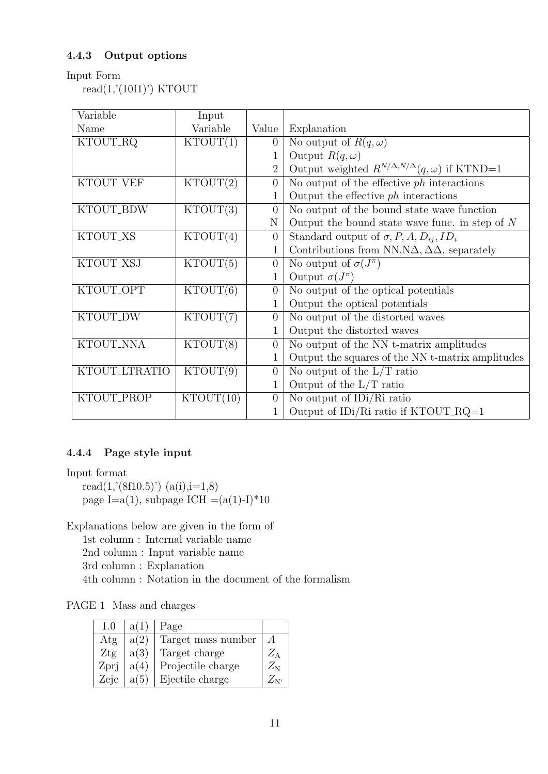### **4.4.3 Output options**

### Input Form

 $read(1,'(10I1)') KTOUT$ 

| Variable        | Input     |                |                                                                |
|-----------------|-----------|----------------|----------------------------------------------------------------|
| Name            | Variable  | Value          | Explanation                                                    |
| KTOUT_RQ        | KTOUT(1)  | $\theta$       | No output of $R(q,\omega)$                                     |
|                 |           | 1              | Output $R(q,\omega)$                                           |
|                 |           | $\overline{2}$ | Output weighted $R^{N/\Delta,N/\Delta}(q,\omega)$ if KTND=1    |
| KTOUT_VEF       | KTOUT(2)  | $\overline{0}$ | No output of the effective $ph$ interactions                   |
|                 |           |                | Output the effective $ph$ interactions                         |
| KTOUT_BDW       | KTOUT(3)  | $\theta$       | No output of the bound state wave function                     |
|                 |           | N              | Output the bound state wave func. in step of $N$               |
| <b>KTOUT XS</b> | KTOUT(4)  | $\overline{0}$ | Standard output of $\sigma$ , P, A, $D_{ij}$ , ID <sub>i</sub> |
|                 |           |                | Contributions from NN, $N\Delta$ , $\Delta\Delta$ , separately |
| KTOUT_XSJ       | KTOUT(5)  | $\overline{0}$ | No output of $\sigma(J^{\pi})$                                 |
|                 |           | 1              | Output $\sigma(J^{\pi})$                                       |
| KTOUT_OPT       | KTOUT(6)  | $\overline{0}$ | No output of the optical potentials                            |
|                 |           |                | Output the optical potentials                                  |
| KTOUT_DW        | KTOUT(7)  | $\overline{0}$ | No output of the distorted waves                               |
|                 |           | 1              | Output the distorted waves                                     |
| KTOUT_NNA       | KTOUT(8)  | $\overline{0}$ | No output of the NN t-matrix amplitudes                        |
|                 |           | 1              | Output the squares of the NN t-matrix amplitudes               |
| KTOUT_LTRATIO   | KTOUT(9)  | $\overline{0}$ | No output of the $L/T$ ratio                                   |
|                 |           | 1              | Output of the $L/T$ ratio                                      |
| KTOUT_PROP      | KTOUT(10) | $\overline{0}$ | No output of IDi/Ri ratio                                      |
|                 |           |                | Output of IDi/Ri ratio if KTOUT_RQ=1                           |

### **4.4.4 Page style input**

Input format read $(1,'(8f10.5)')$   $(a(i),i=1,8)$ page I=a(1), subpage ICH =(a(1)-I)\*10

Explanations below are given in the form of

1st column : Internal variable name

2nd column : Input variable name

3rd column : Explanation

4th column : Notation in the document of the formalism

PAGE 1 Mass and charges

| 1.(1) | a(1) | Page               |             |
|-------|------|--------------------|-------------|
| Atg   | a(2) | Target mass number |             |
| Ztg   | a(3) | Target charge      | $Z_{\rm A}$ |
| Zprj  | a(4) | Projectile charge  | $Z_{\rm N}$ |
| Zejc  | a(5) | Ejectile charge    |             |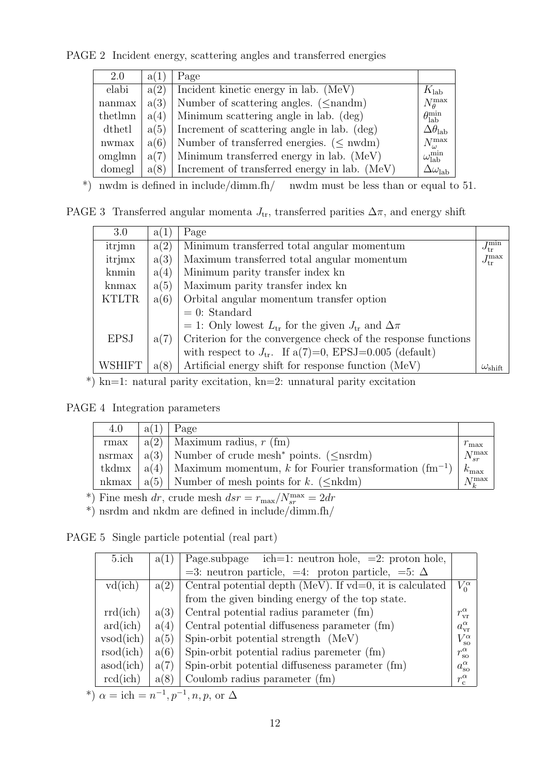PAGE 2 Incident energy, scattering angles and transferred energies

| 2.0                | a(1) | Page                                           |                              |
|--------------------|------|------------------------------------------------|------------------------------|
| elabi              | a(2) | Incident kinetic energy in lab. (MeV)          | $K_{\rm lab}$                |
| n <sub>anmax</sub> | a(3) | Number of scattering angles. $(\leq$ nandm)    | $N_\theta^{\max}$            |
| thethmn            | a(4) | Minimum scattering angle in lab. (deg)         | $\theta_{\rm lab}^{\rm min}$ |
| dthetl             | a(5) | Increment of scattering angle in lab. (deg)    | $\Delta\theta_\text{lab}$    |
| nwmax              | a(6) | Number of transferred energies. ( $\leq$ nwdm) | $N_\omega^{\rm max}$         |
| omglmn             | a(7) | Minimum transferred energy in lab. (MeV)       | $\omega_{\rm lab}^{\rm min}$ |
| domegl             | a(8) | Increment of transferred energy in lab. (MeV)  | $\Delta\omega_{\rm lab}$     |

\*) nwdm is defined in include/dimm.fh/ nwdm must be less than or equal to 51.

PAGE 3 Transferred angular momenta  $J_{tr}$ , transferred parities  $\Delta \pi$ , and energy shift

| 3.0           | a(1) | Page                                                              |                                  |  |
|---------------|------|-------------------------------------------------------------------|----------------------------------|--|
| itrjmn        | a(2) | Minimum transferred total angular momentum                        | $\bar{J}_{{\rm tr}}^{{\rm min}}$ |  |
| itrjmx        | a(3) | Maximum transferred total angular momentum                        | $J_\mathrm{tr}^{\mathrm{max}}$   |  |
| knmin         | a(4) | Minimum parity transfer index kn                                  |                                  |  |
| knmax         | a(5) | Maximum parity transfer index kn                                  |                                  |  |
| <b>KTLTR</b>  | a(6) | Orbital angular momentum transfer option                          |                                  |  |
|               |      | $= 0$ : Standard                                                  |                                  |  |
|               |      | = 1: Only lowest $L_{tr}$ for the given $J_{tr}$ and $\Delta \pi$ |                                  |  |
| <b>EPSJ</b>   | a(7) | Criterion for the convergence check of the response functions     |                                  |  |
|               |      | with respect to $J_{tr}$ . If a(7)=0, EPSJ=0.005 (default)        |                                  |  |
| <b>WSHIFT</b> | a(8) | Artificial energy shift for response function (MeV)               | $\omega_{\text{shift}}$          |  |

\*) kn=1: natural parity excitation, kn=2: unnatural parity excitation

PAGE 4 Integration parameters

| 4.0 | a(1) | Page                                                                        |                  |
|-----|------|-----------------------------------------------------------------------------|------------------|
|     |      | rmax   $a(2)$   Maximum radius, r (fm)                                      | $r_{\text{max}}$ |
|     |      | nsrmax   $a(3)$   Number of crude mesh <sup>*</sup> points. ( $\leq$ nsrdm) | $N_{sr}^{\max}$  |
|     |      | tkdmx   $a(4)$   Maximum momentum, k for Fourier transformation $(fm^{-1})$ | $k_{\rm max}$    |
|     |      | nkmax   $a(5)$   Number of mesh points for k. ( $\leq$ nkdm)                | $N_t^{\max}$     |

\*) Fine mesh  $dr$ , crude mesh  $dsr = r_{\text{max}}/N_{sr}^{\text{max}} = 2dr$ 

 $^*$ ) nsrdm and nkdm are defined in include/dimm.fh/

PAGE 5 Single particle potential (real part)

| 5.ich                    | a(1) | Page.subpage ich=1: neutron hole, $=2$ : proton hole,       |                       |
|--------------------------|------|-------------------------------------------------------------|-----------------------|
|                          |      | =3: neutron particle, =4: proton particle, =5: $\Delta$     |                       |
| vd(ich)                  | a(2) | Central potential depth (MeV). If $vd=0$ , it is calculated | $V_0^{\alpha}$        |
|                          |      | from the given binding energy of the top state.             |                       |
| rrd(ich)                 | a(3) | Central potential radius parameter (fm)                     | $r_{\rm vr}^{\alpha}$ |
| $\text{ard}(\text{ich})$ | a(4) | Central potential diffuseness parameter (fm)                | $a_{\rm vr}^{\alpha}$ |
| vsod(ich)                | a(5) | Spin-orbit potential strength (MeV)                         | $V_{\rm so}^{\alpha}$ |
| rsod(ich)                | a(6) | Spin-orbit potential radius paremeter (fm)                  | $r_{\rm so}^{\alpha}$ |
| asod(ich)                | a(7) | Spin-orbit potential diffuseness parameter (fm)             | $a_{\rm so}^{\alpha}$ |
| rcd(ich)                 | a(8) | Coulomb radius parameter (fm)                               | $r_c^{\alpha}$        |
|                          |      |                                                             |                       |

\*)  $\alpha = \text{ich} = n^{-1}, p^{-1}, n, p, \text{ or } \Delta$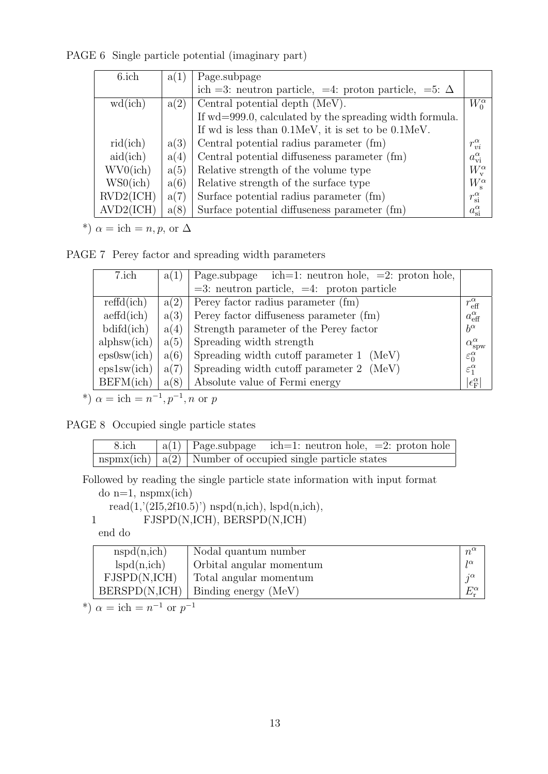PAGE 6 Single particle potential (imaginary part)

| 6.ich     | a(1) | Page.subpage                                                |                       |
|-----------|------|-------------------------------------------------------------|-----------------------|
|           |      | ich =3: neutron particle, =4: proton particle, =5: $\Delta$ |                       |
| wd(ich)   | a(2) | Central potential depth (MeV).                              | $W_0^{\alpha}$        |
|           |      | If wd=999.0, calculated by the spreading width formula.     |                       |
|           |      | If wd is less than 0.1MeV, it is set to be 0.1MeV.          |                       |
| rid(ich)  | a(3) | Central potential radius parameter (fm)                     | $r_{vi}^{\alpha}$     |
| aid(ich)  | a(4) | Central potential diffuseness parameter (fm)                | $a_{\rm vi}^{\alpha}$ |
| WV0(ich)  | a(5) | Relative strength of the volume type                        | $W_{v}^{\alpha}$      |
| WS0(ich)  | a(6) | Relative strength of the surface type                       | $W_{\rm s}^{\alpha}$  |
| RVD2(ICH) | a(7) | Surface potential radius parameter (fm)                     | $r_{\rm si}^\alpha$   |
| AVD2(ICH) | a(8) | Surface potential diffuseness parameter (fm)                | $a_{\rm si}^{\alpha}$ |

\*)  $\alpha = \text{ich} = n, p, \text{ or } \Delta$ 

PAGE 7 Perey factor and spreading width parameters

| 7.ich                              | a(1) | Page.subpage $ich=1$ : neutron hole, $=2$ : proton hole, |                               |
|------------------------------------|------|----------------------------------------------------------|-------------------------------|
|                                    |      | $=3$ : neutron particle, $=4$ : proton particle          |                               |
| refd(ich)                          | a(2) | Perey factor radius parameter (fm)                       | $r_{\text{eff}}^{\alpha}$     |
| $\operatorname{aeffd}(\text{ich})$ | a(3) | Perey factor diffuseness parameter (fm)                  | $a_{\text{eff}}^{\alpha}$     |
| $b\ddot{d}f\ddot{d}$               | a(4) | Strength parameter of the Perey factor                   | $b^{\alpha}$                  |
| alphsw(ich)                        | a(5) | Spreading width strength                                 | $\alpha_{\rm spw}^{\alpha}$   |
| eps0sw(ich)                        | a(6) | Spreading width cutoff parameter 1 (MeV)                 | $\varepsilon_0^{\alpha}$      |
| eps1sw(ich)                        | a(7) | Spreading width cutoff parameter 2 (MeV)                 | $\varepsilon_1^{\alpha}$      |
| BEFM(ich)                          | a(8) | Absolute value of Fermi energy                           | $ \epsilon_{\rm F}^{\alpha} $ |

\*)  $\alpha = \text{ich} = n^{-1}, p^{-1}, n \text{ or } p$ 

PAGE 8 Occupied single particle states

| 8.ich | $ a(1) $ Page.subpage ich=1: neutron hole, =2: proton hole      |
|-------|-----------------------------------------------------------------|
|       | $nspmx(ich)   a(2)  $ Number of occupied single particle states |

Followed by reading the single particle state information with input format

do n=1, nspmx(ich)

read $(1,(2I5,2f10.5))$  nspd $(n,ich)$ , lspd $(n,ich)$ ,

1 FJSPD(N,ICH), BERSPD(N,ICH)

end do

| nspd(n,ich)   | Nodal quantum number     | $n^{\alpha}$ |
|---------------|--------------------------|--------------|
| lspd(n,ich)   | Orbital angular momentum | $1\alpha$    |
| FJSPD(N, ICH) | Total angular momentum   | $\alpha$     |
| BERSPD(N,ICH) | Binding energy (MeV)     |              |

\*)  $\alpha = \text{ich} = n^{-1} \text{ or } p^{-1}$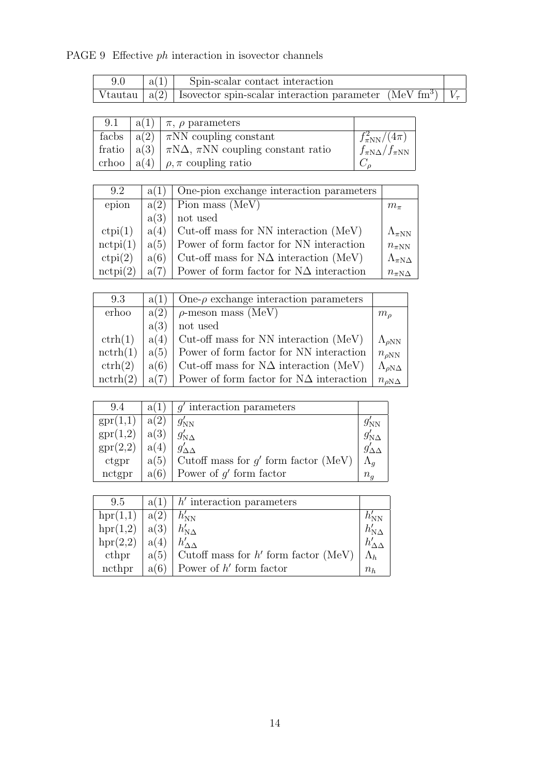## PAGE 9 Effective *ph* interaction in isovector channels

| 9.0 | $ a(1) $ Spin-scalar contact interaction                                                       |  |
|-----|------------------------------------------------------------------------------------------------|--|
|     | Vtautau $ a(2) $ Isovector spin-scalar interaction parameter (MeV fm <sup>3</sup> ) $ V_\tau $ |  |

| 9.1 | $\alpha(1)   \pi$ , $\rho$ parameters                          |                              |
|-----|----------------------------------------------------------------|------------------------------|
|     | facbs $ a(2)  \pi NN$ coupling constant                        | $f_{\pi NN}^2/(4\pi)$        |
|     | fratio $ a(3)  \pi N\Delta$ , $\pi NN$ coupling constant ratio | $f_{\pi N\Delta}/f_{\pi NN}$ |
|     | crhoo $ a(4)  \rho, \pi$ coupling ratio                        |                              |

| 9.2               | a(1) | One-pion exchange interaction parameters       |                         |
|-------------------|------|------------------------------------------------|-------------------------|
| epion             | a(2) | Pion mass (MeV)                                | $m_{\pi}$               |
|                   | a(3) | not used                                       |                         |
| ctpi(1)           | a(4) | Cut-off mass for NN interaction (MeV)          | $\Lambda_{\pi NN}$      |
| $\text{nctpi}(1)$ | a(5) | Dower of form factor for NN interaction        | $n_{\pi NN}$            |
| ctpi(2)           | a(6) | Cut-off mass for $N\Delta$ interaction (MeV)   | $\Lambda_{\pi N\Delta}$ |
| $\text{nctpi}(2)$ | a(7) | Power of form factor for $N\Delta$ interaction | $n_{\pi N\Delta}$       |

| 9.3                | a(1) | One- $\rho$ exchange interaction parameters    |                          |
|--------------------|------|------------------------------------------------|--------------------------|
| erhoo              | a(2) | $\rho$ -meson mass (MeV)                       | m <sub>o</sub>           |
|                    | a(3) | not used                                       |                          |
| $\mathrm{ctrh}(1)$ | a(4) | Cut-off mass for NN interaction (MeV)          | $\Lambda_{\rho NN}$      |
| nctrh(1)           | a(5) | Power of form factor for NN interaction        | $n_{\rho \rm NN}$        |
| $\mathrm{ctrh}(2)$ | a(6) | Cut-off mass for $N\Delta$ interaction (MeV)   | $\Lambda_{\rho N\Delta}$ |
| nctrh(2)           | a(7) | Power of form factor for $N\Delta$ interaction | $n_{\rho\text{N}\Delta}$ |

| 9.4      | a(1  | $q'$ interaction parameters            |                       |
|----------|------|----------------------------------------|-----------------------|
| spr(1,1) | a(2) | $g'_{NN}$                              | $g^{\prime}_{\rm NN}$ |
| spr(1,2) | a(3) | $g'_{{\rm N}\Delta}$                   | $g'_{{\rm N}\Delta}$  |
| spr(2,2) | a(4) |                                        |                       |
| ctgpr    | a(5) | Cutoff mass for $g'$ form factor (MeV) | $\Lambda_a$           |
| nctgpr   | a(6) | Power of $g'$ form factor              | $n_{\rm q}$           |

| 9.5      | a(1) | $h'$ interaction parameters                 |       |
|----------|------|---------------------------------------------|-------|
| hpr(1,1) | a(2) | $h'_{\rm NN}$                               |       |
| hpr(1,2) | a(3) | $h'_{\rm N\Lambda}$                         |       |
| hpr(2,2) | a(4) |                                             |       |
| cthpr    |      | $a(5)$ Cutoff mass for h' form factor (MeV) |       |
| ncthpr   | a(6) | Power of $h'$ form factor                   | $n_h$ |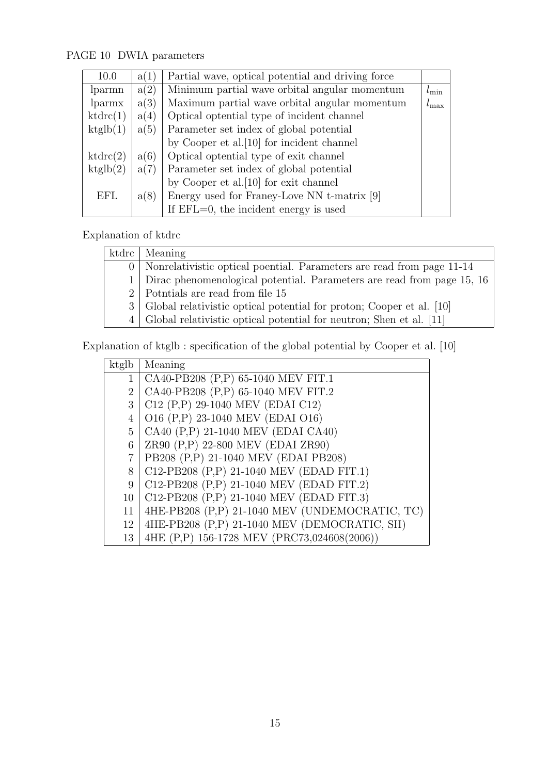## PAGE 10 DWIA parameters

| 10.0       | a(1) | Partial wave, optical potential and driving force |                |
|------------|------|---------------------------------------------------|----------------|
| lparmn     | a(2) | Minimum partial wave orbital angular momentum     | $l_{\min}$     |
| lparmx     | a(3) | Maximum partial wave orbital angular momentum     | $\iota_{\max}$ |
| ktdrc(1)   | a(4) | Optical optential type of incident channel        |                |
| ktglb(1)   | a(5) | Parameter set index of global potential           |                |
|            |      | by Cooper et al. [10] for incident channel        |                |
| ktdrc(2)   | a(6) | Optical optential type of exit channel            |                |
| ktglb(2)   | a(7) | Parameter set index of global potential           |                |
|            |      | by Cooper et al. [10] for exit channel            |                |
| <b>EFL</b> | a(8) | Energy used for Franey-Love NN t-matrix [9]       |                |
|            |      | If $EFL=0$ , the incident energy is used          |                |

## Explanation of ktdrc

| ktdrc   Meaning                                                              |
|------------------------------------------------------------------------------|
| 0   Nonrelativistic optical poential. Parameters are read from page 11-14    |
| 1 Dirac phenomenological potential. Parameters are read from page 15, 16     |
| 2 Potntials are read from file 15                                            |
| 3   Global relativistic optical potential for proton; Cooper et al. [10]     |
| $4 \mid$ Global relativistic optical potential for neutron; Shen et al. [11] |

Explanation of ktglb : specification of the global potential by Cooper et al. [10]

| ktglb          | Meaning                                        |
|----------------|------------------------------------------------|
| $\mathbf{1}$   | CA40-PB208 (P,P) 65-1040 MEV FIT.1             |
| $\overline{2}$ | CA40-PB208 (P,P) 65-1040 MEV FIT.2             |
| 3              | C12 (P,P) 29-1040 MEV (EDAI C12)               |
| 4              | O16 (P,P) 23-1040 MEV (EDAI O16)               |
| 5              | CA40 (P,P) 21-1040 MEV (EDAI CA40)             |
| 6              | ZR90 (P,P) 22-800 MEV (EDAI ZR90)              |
| $\overline{7}$ | PB208 (P,P) 21-1040 MEV (EDAI PB208)           |
| 8              | C12-PB208 (P,P) 21-1040 MEV (EDAD FIT.1)       |
| 9              | C12-PB208 (P,P) 21-1040 MEV (EDAD FIT.2)       |
| 10             | C12-PB208 (P,P) 21-1040 MEV (EDAD FIT.3)       |
| 11             | 4HE-PB208 (P,P) 21-1040 MEV (UNDEMOCRATIC, TC) |
| 12             | 4HE-PB208 (P,P) 21-1040 MEV (DEMOCRATIC, SH)   |
| 13             | 4HE (P,P) 156-1728 MEV (PRC73,024608(2006))    |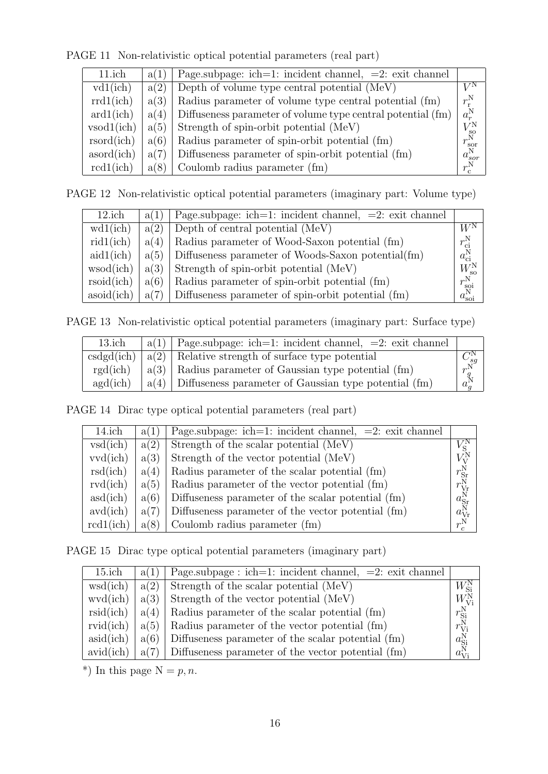PAGE 11 Non-relativistic optical potential parameters (real part)

| $11$ .ich                 | a(1) | Page.subpage: ich=1: incident channel, $=2$ : exit channel  |                       |
|---------------------------|------|-------------------------------------------------------------|-----------------------|
| vd1(ich)                  | a(2) | Depth of volume type central potential (MeV)                | $V^{\rm N}$           |
| rrd1(ich)                 | a(3) | Radius parameter of volume type central potential (fm)      | $r_{\rm r}^{\rm N}$   |
| ard1(ich)                 | a(4) | Diffuseness parameter of volume type central potential (fm) | $a_r^N$               |
| vsod1(ich)                | a(5) | Strength of spin-orbit potential (MeV)                      | $V_{\rm so}^{\rm N}$  |
| r <sub>sorted</sub> (ich) | a(6) | Radius parameter of spin-orbit potential (fm)               | $r_{\rm sor}^{\rm N}$ |
| asord(ich)                | a(7) | Diffuseness parameter of spin-orbit potential (fm)          | $a_{sor}^N$           |
| rcd1(ich)                 | a(8) | Coulomb radius parameter (fm)                               | $r_c^{\rm N}$         |

PAGE 12 Non-relativistic optical potential parameters (imaginary part: Volume type)

| $12$ .ich  | a(1) | Page.subpage: ich=1: incident channel, $=2$ : exit channel |                       |
|------------|------|------------------------------------------------------------|-----------------------|
| wd1(ich)   | a(2) | Depth of central potential (MeV)                           | $W^{\rm N}$           |
| rid1(ich)  | a(4) | Radius parameter of Wood-Saxon potential (fm)              | $r_{\rm ci}^{\rm N}$  |
| aid1(ich)  | a(5) | Diffuseness parameter of Woods-Saxon potential(fm)         | $a_{ci}^N$            |
| wsod(ich)  | a(3) | Strength of spin-orbit potential (MeV)                     | $W_{\rm so}^{\rm N}$  |
| rsoid(ich) | a(6) | Radius parameter of spin-orbit potential (fm)              | $r_{\rm soi}^{\rm N}$ |
| asoid(ich) | a(7) | Diffuseness parameter of spin-orbit potential (fm)         | $a_{\rm soi}^{\rm N}$ |

PAGE 13 Non-relativistic optical potential parameters (imaginary part: Surface type)

| $13$ .ich  | $a(1)$ Page subpage: ich=1: incident channel, =2: exit channel |                           |
|------------|----------------------------------------------------------------|---------------------------|
| csdgd(ich) | $ a(2) $ Relative strength of surface type potential           |                           |
| rgd(ich)   | $a(3)$ Radius parameter of Gaussian type potential (fm)        | $r^{\text{sg}}$           |
| agd(ich)   | $a(4)$ Diffuseness parameter of Gaussian type potential (fm)   | $a_{\alpha}^{\mathbf{N}}$ |

PAGE 14 Dirac type optical potential parameters (real part)

| 14.ich    | a(1) | Page.subpage: ich=1: incident channel, $=2$ : exit channel |                      |
|-----------|------|------------------------------------------------------------|----------------------|
| vsd(ich)  | a(2) | Strength of the scalar potential (MeV)                     |                      |
| vvd(ich)  | a(3) | Strength of the vector potential (MeV)                     |                      |
| rsd(ich)  | a(4) | Radius parameter of the scalar potential (fm)              | $r_{\rm Sr}^{\rm N}$ |
| rvd(ich)  | a(5) | Radius parameter of the vector potential (fm)              | $r_{\rm Vr}^{\rm N}$ |
| asd(ich)  | a(6) | Diffuseness parameter of the scalar potential (fm)         | $a_{\rm Sr}^{\rm N}$ |
| avd(ich)  | a(7) | Diffuseness parameter of the vector potential (fm)         | $a_{\rm Vr}^{\rm N}$ |
| rcd1(ich) | a(8) | Coulomb radius parameter (fm)                              | $r_c^N$              |

PAGE 15 Dirac type optical potential parameters (imaginary part)

| $15$ .ich | a(1) | $\vert$ Page.subpage : ich=1: incident channel, =2: exit channel      |                                |
|-----------|------|-----------------------------------------------------------------------|--------------------------------|
| wsd(ich)  |      | $a(2)$ Strength of the scalar potential (MeV)                         | $W^{\rm N}_{\rm Si}$           |
|           |      | wvd(ich) $ a(3) $ Strength of the vector potential (MeV)              | $W_{\mathrm{Vi}}^{\mathrm{N}}$ |
|           |      | rsid(ich) $ a(4) $ Radius parameter of the scalar potential (fm)      | $r_{\rm Si}^{\rm N}$           |
|           |      | rvid(ich) $ a(5) $ Radius parameter of the vector potential (fm)      | $r_{\mathrm{Vi}}^{\mathrm{N}}$ |
| asid(ich) |      | $a(6)$ Diffuseness parameter of the scalar potential (fm)             | $a_{\text{Si}}^{\text{N}}$     |
|           |      | avid(ich) $ a(7) $ Diffuseness parameter of the vector potential (fm) | $a_{\mathrm{Vi}}^{\mathrm{N}}$ |

\*) In this page  $N = p, n$ .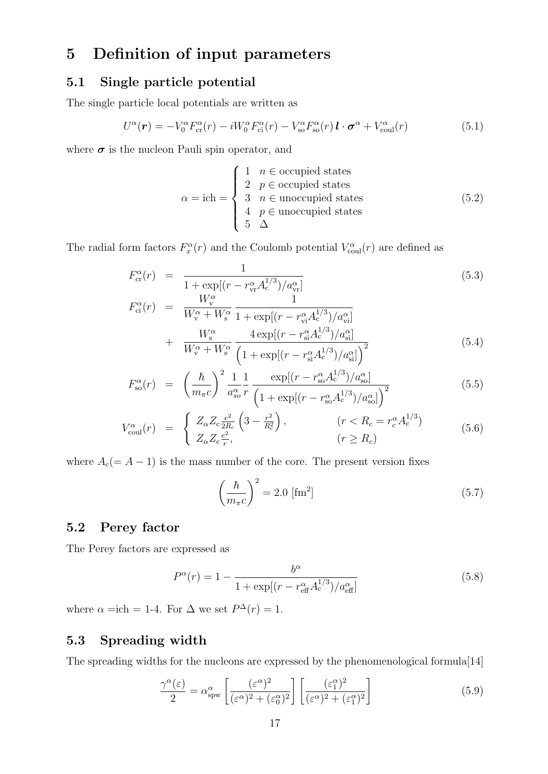## **5 Definition of input parameters**

## **5.1 Single particle potential**

The single particle local potentials are written as

$$
U^{\alpha}(\boldsymbol{r}) = -V_0^{\alpha} F_{\text{cr}}^{\alpha}(r) - iW_0^{\alpha} F_{\text{ci}}^{\alpha}(r) - V_{\text{so}}^{\alpha} F_{\text{so}}^{\alpha}(r) \boldsymbol{l} \cdot \boldsymbol{\sigma}^{\alpha} + V_{\text{coul}}^{\alpha}(r)
$$
(5.1)

where  $\sigma$  is the nucleon Pauli spin operator, and

$$
\alpha = \text{ich} = \begin{cases} 1 & n \in \text{occupied states} \\ 2 & p \in \text{occupied states} \\ 3 & n \in \text{unoccupied states} \\ 4 & p \in \text{unoccupied states} \\ 5 & \Delta \end{cases}
$$
 (5.2)

The radial form factors  $F_x^{\alpha}(r)$  and the Coulomb potential  $V_{\text{coul}}^{\alpha}(r)$  are defined as

$$
F_{\rm cr}^{\alpha}(r) = \frac{1}{1 + \exp[(r - r_{\rm vr}^{\alpha} A_{\rm c}^{1/3}) / a_{\rm vr}^{\alpha}]}
$$
(5.3)  

$$
F_{\rm ci}^{\alpha}(r) = \frac{W_{\rm v}^{\alpha}}{W_{\rm cr}^{\alpha} W_{\rm cr}^{\alpha}} \frac{1}{(1 + \exp[(r - r_{\rm cr}^{\alpha} A_{\rm cr}^{1/3}) / a_{\rm vr}^{\alpha}]}
$$

$$
\begin{split} \n\sigma_{\text{ci}}^{2}(r) &= \frac{W_{\text{v}}^{\alpha}}{W_{\text{v}}^{\alpha} + W_{\text{s}}^{\alpha}} \frac{1}{1 + \exp[(r - r_{\text{vi}}^{\alpha} A_{\text{c}}^{1/3}) / a_{\text{vi}}^{\alpha}]} \\ \n&+ \frac{W_{\text{s}}^{\alpha}}{W_{\text{v}}^{\alpha} + W_{\text{s}}^{\alpha}} \frac{4 \exp[(r - r_{\text{si}}^{\alpha} A_{\text{c}}^{1/3}) / a_{\text{si}}^{\alpha}]}{\left(1 + \exp[(r - r_{\text{si}}^{\alpha} A_{\text{c}}^{1/3}) / a_{\text{si}}^{\alpha}]\right)^{2}} \n\end{split} \tag{5.4}
$$

$$
F_{\rm so}^{\alpha}(r) = \left(\frac{\hbar}{m_{\pi}c}\right)^2 \frac{1}{a_{\rm so}^{\alpha}} \frac{1}{r} \frac{\exp[(r - r_{\rm so}^{\alpha} A_{\rm c}^{1/3})/a_{\rm so}^{\alpha}]}{\left(1 + \exp[(r - r_{\rm so}^{\alpha} A_{\rm c}^{1/3})/a_{\rm so}^{\alpha}]\right)^2}
$$
(5.5)

$$
V_{\text{coul}}^{\alpha}(r) = \begin{cases} Z_{\alpha} Z_{\text{c}} \frac{e^2}{2R_c} \left(3 - \frac{r^2}{R_c^2}\right), & (r < R_c = r_c^{\alpha} A_{\text{c}}^{1/3})\\ Z_{\alpha} Z_{\text{c}} \frac{e^2}{r}, & (r \ge R_c) \end{cases}
$$
\n
$$
(5.6)
$$

where  $A_c(= A - 1)$  is the mass number of the core. The present version fixes

$$
\left(\frac{\hbar}{m_{\pi}c}\right)^2 = 2.0 \text{ [fm}^2\text{]}
$$
\n(5.7)

### **5.2 Perey factor**

The Perey factors are expressed as

$$
P^{\alpha}(r) = 1 - \frac{b^{\alpha}}{1 + \exp[(r - r_{\text{eff}}^{\alpha} A_{\text{c}}^{1/3}) / a_{\text{eff}}^{\alpha}]}
$$
(5.8)

where  $\alpha = \text{ich} = 1$ -4. For  $\Delta$  we set  $P^{\Delta}(r) = 1$ .

## **5.3 Spreading width**

The spreading widths for the nucleons are expressed by the phenomenological formula[14]

$$
\frac{\gamma^{\alpha}(\varepsilon)}{2} = \alpha_{\text{spw}}^{\alpha} \left[ \frac{(\varepsilon^{\alpha})^2}{(\varepsilon^{\alpha})^2 + (\varepsilon_0^{\alpha})^2} \right] \left[ \frac{(\varepsilon_1^{\alpha})^2}{(\varepsilon^{\alpha})^2 + (\varepsilon_1^{\alpha})^2} \right]
$$
(5.9)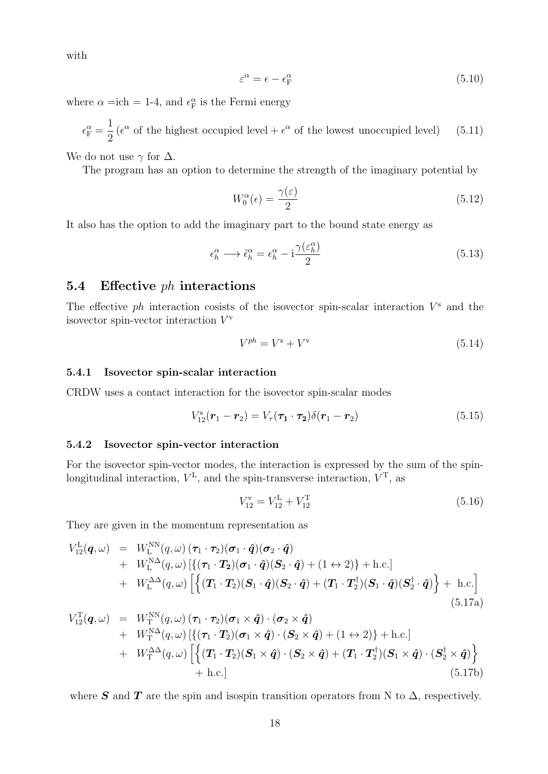with

$$
\varepsilon^{\alpha} = \epsilon - \epsilon_{\rm F}^{\alpha} \tag{5.10}
$$

where  $\alpha = \text{ich} = 1$ -4, and  $\epsilon_{\text{F}}^{\alpha}$  is the Fermi energy

 $\epsilon_{\rm F}^{\alpha} =$ 1 2  $(\epsilon^{\alpha}$  of the highest occupied level +  $\epsilon^{\alpha}$  of the lowest unoccupied level) (5.11)

We do not use  $\gamma$  for  $\Delta$ .

The program has an option to determine the strength of the imaginary potential by

$$
W_0^{\alpha}(\epsilon) = \frac{\gamma(\epsilon)}{2} \tag{5.12}
$$

It also has the option to add the imaginary part to the bound state energy as

$$
\epsilon_h^{\alpha} \longrightarrow \tilde{\epsilon}_h^{\alpha} = \epsilon_h^{\alpha} - i \frac{\gamma(\varepsilon_h^{\alpha})}{2}
$$
\n(5.13)

#### **5.4 Effective** *ph* **interactions**

The effective  $ph$  interaction cosists of the isovector spin-scalar interaction  $V^s$  and the isovector spin-vector interaction *V* v

$$
V^{ph} = V^s + V^v \tag{5.14}
$$

#### **5.4.1 Isovector spin-scalar interaction**

CRDW uses a contact interaction for the isovector spin-scalar modes

$$
V_{12}^{\rm s}(\mathbf{r}_1 - \mathbf{r}_2) = V_{\tau}(\mathbf{\tau}_1 \cdot \mathbf{\tau}_2) \delta(\mathbf{r}_1 - \mathbf{r}_2)
$$
\n(5.15)

#### **5.4.2 Isovector spin-vector interaction**

For the isovector spin-vector modes, the interaction is expressed by the sum of the spinlongitudinal interaction, *V* L , and the spin-transverse interaction, *V* <sup>T</sup>, as

$$
V_{12}^{\rm v} = V_{12}^{\rm L} + V_{12}^{\rm T} \tag{5.16}
$$

They are given in the momentum representation as

$$
V_{12}^{L}(\boldsymbol{q},\omega) = W_{L}^{NN}(q,\omega) (\boldsymbol{\tau}_{1} \cdot \boldsymbol{\tau}_{2}) (\boldsymbol{\sigma}_{1} \cdot \hat{\boldsymbol{q}}) (\boldsymbol{\sigma}_{2} \cdot \hat{\boldsymbol{q}}) + W_{L}^{NN} (q,\omega) [\{ (\boldsymbol{\tau}_{1} \cdot \boldsymbol{T}_{2}) (\boldsymbol{\sigma}_{1} \cdot \hat{\boldsymbol{q}}) (\boldsymbol{S}_{2} \cdot \hat{\boldsymbol{q}}) + (1 \leftrightarrow 2) \} + h.c.] + W_{L}^{\Delta\Delta}(q,\omega) [\{ (\boldsymbol{T}_{1} \cdot \boldsymbol{T}_{2}) (\boldsymbol{S}_{1} \cdot \hat{\boldsymbol{q}}) (\boldsymbol{S}_{2} \cdot \hat{\boldsymbol{q}}) + (\boldsymbol{T}_{1} \cdot \boldsymbol{T}_{2}^{\dagger}) (\boldsymbol{S}_{1} \cdot \hat{\boldsymbol{q}}) (\boldsymbol{S}_{2}^{\dagger} \cdot \hat{\boldsymbol{q}}) \} + h.c. ]
$$
\n(5.17a)

$$
V_{12}^{T}(\boldsymbol{q},\omega) = W_{T}^{NN}(q,\omega) (\boldsymbol{\tau}_{1} \cdot \boldsymbol{\tau}_{2}) (\boldsymbol{\sigma}_{1} \times \boldsymbol{\hat{q}}) \cdot (\boldsymbol{\sigma}_{2} \times \boldsymbol{\hat{q}}) + W_{T}^{N\Delta}(q,\omega) [\{(\boldsymbol{\tau}_{1} \cdot \boldsymbol{T}_{2})(\boldsymbol{\sigma}_{1} \times \boldsymbol{\hat{q}}) \cdot (\boldsymbol{S}_{2} \times \boldsymbol{\hat{q}}) + (1 \leftrightarrow 2)\} + h.c.] + W_{T}^{\Delta\Delta}(q,\omega) [\{(\boldsymbol{T}_{1} \cdot \boldsymbol{T}_{2})(\boldsymbol{S}_{1} \times \boldsymbol{\hat{q}}) \cdot (\boldsymbol{S}_{2} \times \boldsymbol{\hat{q}}) + (\boldsymbol{T}_{1} \cdot \boldsymbol{T}_{2}^{\dagger})(\boldsymbol{S}_{1} \times \boldsymbol{\hat{q}}) \cdot (\boldsymbol{S}_{2}^{\dagger} \times \boldsymbol{\hat{q}}) + h.c.] + h.c.]
$$
\n(5.17b)

where *S* and *T* are the spin and isospin transition operators from N to  $\Delta$ , respectively.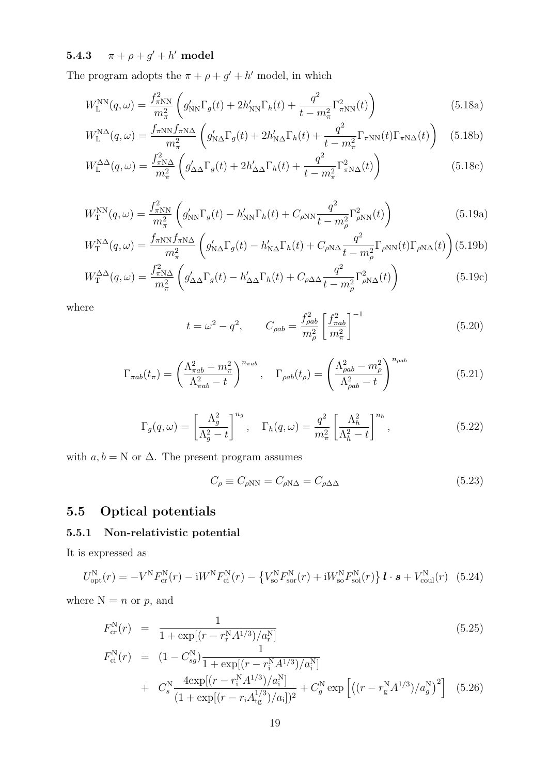$\textbf{5.4.3} \qquad \pi + \rho + g' + h' \text{ model}$ 

The program adopts the  $\pi + \rho + g' + h'$  model, in which

$$
W_{\rm L}^{\rm NN}(q,\omega) = \frac{f_{\pi N N}^2}{m_{\pi}^2} \left( g_{\rm NN}' \Gamma_g(t) + 2h_{\rm NN}' \Gamma_h(t) + \frac{q^2}{t - m_{\pi}^2} \Gamma_{\pi N N}^2(t) \right)
$$
(5.18a)

$$
W_{\rm L}^{\rm N\Delta}(q,\omega) = \frac{f_{\pi \rm NN} f_{\pi \rm N\Delta}}{m_{\pi}^2} \left( g_{\rm N\Delta}' \Gamma_g(t) + 2h_{\rm N\Delta}' \Gamma_h(t) + \frac{q^2}{t - m_{\pi}^2} \Gamma_{\pi \rm NN}(t) \Gamma_{\pi \rm N\Delta}(t) \right) \tag{5.18b}
$$

$$
W_{\mathcal{L}}^{\Delta\Delta}(q,\omega) = \frac{f_{\pi N\Delta}^2}{m_{\pi}^2} \left( g_{\Delta\Delta}^{\prime} \Gamma_g(t) + 2h_{\Delta\Delta}^{\prime} \Gamma_h(t) + \frac{q^2}{t - m_{\pi}^2} \Gamma_{\pi N\Delta}^2(t) \right)
$$
(5.18c)

$$
W_{\rm T}^{\rm NN}(q,\omega) = \frac{f_{\pi N N}^2}{m_{\pi}^2} \left( g_{\rm NN}' \Gamma_g(t) - h_{\rm NN}' \Gamma_h(t) + C_{\rho N N} \frac{q^2}{t - m_{\rho}^2} \Gamma_{\rho N}^2(t) \right)
$$
(5.19a)

$$
W_{\rm T}^{\rm N\Delta}(q,\omega) = \frac{f_{\pi \rm NN} f_{\pi \rm N\Delta}}{m_{\pi}^2} \left( g_{\rm N\Delta}' \Gamma_g(t) - h_{\rm N\Delta}' \Gamma_h(t) + C_{\rho \rm N\Delta} \frac{q^2}{t - m_{\rho}^2} \Gamma_{\rho \rm NN}(t) \Gamma_{\rho \rm N\Delta}(t) \right) (5.19b)
$$

$$
W_{\rm T}^{\Delta\Delta}(q,\omega) = \frac{f_{\pi N\Delta}^2}{m_{\pi}^2} \left( g_{\Delta\Delta}^{\prime} \Gamma_g(t) - h_{\Delta\Delta}^{\prime} \Gamma_h(t) + C_{\rho\Delta\Delta} \frac{q^2}{t - m_{\rho}^2} \Gamma_{\rho N\Delta}^2(t) \right)
$$
(5.19c)

where

$$
t = \omega^2 - q^2, \qquad C_{\rho ab} = \frac{f_{\rho ab}^2}{m_\rho^2} \left[ \frac{f_{\pi ab}^2}{m_\pi^2} \right]^{-1}
$$
 (5.20)

$$
\Gamma_{\pi ab}(t_{\pi}) = \left(\frac{\Lambda_{\pi ab}^2 - m_{\pi}^2}{\Lambda_{\pi ab}^2 - t}\right)^{n_{\pi ab}}, \quad \Gamma_{\rho ab}(t_{\rho}) = \left(\frac{\Lambda_{\rho ab}^2 - m_{\rho}^2}{\Lambda_{\rho ab}^2 - t}\right)^{n_{\rho ab}}
$$
(5.21)

$$
\Gamma_g(q,\omega) = \left[\frac{\Lambda_g^2}{\Lambda_g^2 - t}\right]^{n_g}, \quad \Gamma_h(q,\omega) = \frac{q^2}{m_\pi^2} \left[\frac{\Lambda_h^2}{\Lambda_h^2 - t}\right]^{n_h},\tag{5.22}
$$

with  $a, b = N$  or  $\Delta$ . The present program assumes

$$
C_{\rho} \equiv C_{\rho NN} = C_{\rho N\Delta} = C_{\rho \Delta \Delta} \tag{5.23}
$$

## **5.5 Optical potentials**

### **5.5.1 Non-relativistic potential**

It is expressed as

$$
U_{\rm opt}^{\rm N}(r) = -V^{\rm N} F_{\rm cr}^{\rm N}(r) - iW^{\rm N} F_{\rm ci}^{\rm N}(r) - \left\{ V_{\rm so}^{\rm N} F_{\rm sor}^{\rm N}(r) + iW_{\rm so}^{\rm N} F_{\rm soi}^{\rm N}(r) \right\} \mathbf{l} \cdot \mathbf{s} + V_{\rm coul}^{\rm N}(r) \tag{5.24}
$$

where  $N = n$  or  $p$ , and

$$
F_{\rm cr}^{\rm N}(r) = \frac{1}{1 + \exp[(r - r_{\rm r}^{\rm N} A^{1/3})/a_{\rm r}^{\rm N}]} \tag{5.25}
$$
  
\n
$$
F_{\rm ci}^{\rm N}(r) = (1 - C_{sg}^{\rm N}) \frac{1}{1 + \exp[(r - r_{\rm i}^{\rm N} A^{1/3})/a_{\rm i}^{\rm N}]}
$$
  
\n
$$
+ C_{s}^{\rm N} \frac{4 \exp[(r - r_{\rm i}^{\rm N} A^{1/3})/a_{\rm i}^{\rm N}]}{(1 + \exp[(r - r_{\rm i} A_{\rm tg}^{1/3})/a_{\rm i}])^{2}} + C_{g}^{\rm N} \exp\left[ \left( (r - r_{\rm g}^{\rm N} A^{1/3})/a_{g}^{\rm N} \right)^{2} \right] \tag{5.26}
$$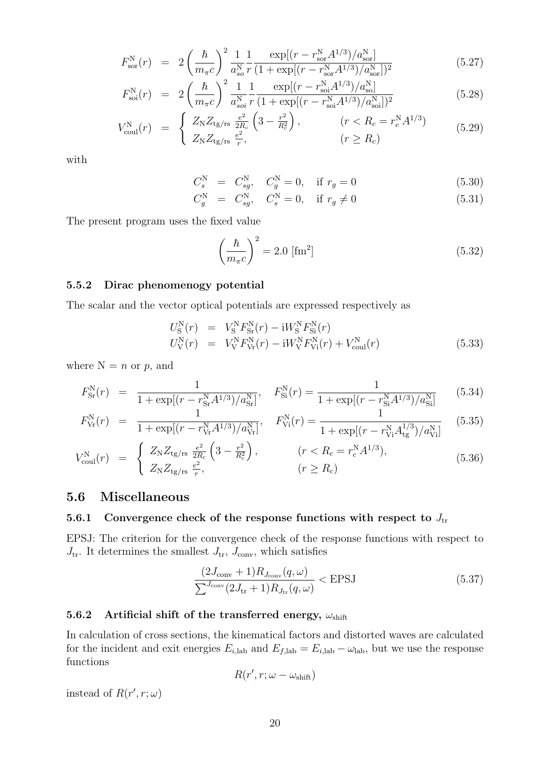$$
F_{\text{sor}}^{\text{N}}(r) = 2\left(\frac{\hbar}{m_{\pi}c}\right)^2 \frac{1}{a_{\text{so}}^{\text{N}}} \frac{1}{r} \frac{\exp[(r - r_{\text{so}}^{\text{N}} A^{1/3})/a_{\text{so}}^{\text{N}}]}{(1 + \exp[(r - r_{\text{so}}^{\text{N}} A^{1/3})/a_{\text{so}}^{\text{N}}])^2}
$$
(5.27)

$$
F_{\rm soi}^{\rm N}(r) = 2\left(\frac{\hbar}{m_{\pi}c}\right)^2 \frac{1}{a_{\rm soi}^{\rm N}} \frac{1}{r} \frac{\exp[(r - r_{\rm soi}^{\rm N} A^{1/3})/a_{\rm soi}^{\rm N}]}{(1 + \exp[(r - r_{\rm soi}^{\rm N} A^{1/3})/a_{\rm soi}^{\rm N}])^2}
$$
(5.28)

$$
V_{\text{coul}}^{\text{N}}(r) = \begin{cases} Z_{\text{N}} Z_{\text{tg/rs}} \frac{e^2}{2R_c} \left( 3 - \frac{r^2}{R_c^2} \right), & (r < R_c = r_c^{\text{N}} A^{1/3})\\ Z_{\text{N}} Z_{\text{tg/rs}} \frac{e^2}{r}, & (r \ge R_c) \end{cases}
$$
\n
$$
(5.29)
$$

with

$$
C_s^{\rm N} = C_{sg}^{\rm N}, \quad C_g^{\rm N} = 0, \quad \text{if } r_g = 0 \tag{5.30}
$$

$$
C_g^{\rm N} = C_{sg}^{\rm N}, \quad C_s^{\rm N} = 0, \quad \text{if } r_g \neq 0 \tag{5.31}
$$

The present program uses the fixed value

$$
\left(\frac{\hbar}{m_{\pi}c}\right)^2 = 2.0 \text{ [fm}^2\text{]}
$$
\n(5.32)

#### **5.5.2 Dirac phenomenogy potential**

The scalar and the vector optical potentials are expressed respectively as

$$
U_{\rm S}^{\rm N}(r) = V_{\rm S}^{\rm N} F_{\rm Sr}^{\rm N}(r) - {\rm i}W_{\rm S}^{\rm N} F_{\rm Si}^{\rm N}(r) U_{\rm V}^{\rm N}(r) = V_{\rm V}^{\rm N} F_{\rm Vr}^{\rm N}(r) - {\rm i}W_{\rm V}^{\rm N} F_{\rm Vi}^{\rm N}(r) + V_{\rm coul}^{\rm N}(r)
$$
(5.33)

where  $N = n$  or  $p$ , and

$$
F_{\rm Sr}^{\rm N}(r) = \frac{1}{1 + \exp[(r - r_{\rm Sr}^{\rm N} A^{1/3})/a_{\rm Sr}^{\rm N}]}, \quad F_{\rm Si}^{\rm N}(r) = \frac{1}{1 + \exp[(r - r_{\rm Si}^{\rm N} A^{1/3})/a_{\rm Si}^{\rm N}]} \tag{5.34}
$$

$$
F_{\rm Vr}^{\rm N}(r) = \frac{1}{1 + \exp[(r - r_{\rm Vr}^{\rm N} A^{1/3})/a_{\rm Vr}^{\rm N}]}, \quad F_{\rm Vi}^{\rm N}(r) = \frac{1}{1 + \exp[(r - r_{\rm Vi}^{\rm N} A_{\rm tg}^{1/3})/a_{\rm Vi}^{\rm N}]} \quad (5.35)
$$

$$
V_{\text{coul}}^{\text{N}}(r) = \begin{cases} Z_{\text{N}} Z_{\text{tg/rs}} \frac{e^2}{2R_c} \left( 3 - \frac{r^2}{R_c^2} \right), & (r < R_c = r_c^{\text{N}} A^{1/3}),\\ Z_{\text{N}} Z_{\text{tg/rs}} \frac{e^2}{r}, & (r \ge R_c) \end{cases} \tag{5.36}
$$

#### **5.6 Miscellaneous**

### **5.6.1** Convergence check of the response functions with respect to  $J_{\text{tr}}$

EPSJ: The criterion for the convergence check of the response functions with respect to  $J_{\text{tr}}$ . It determines the smallest  $J_{\text{tr}}$ ,  $J_{\text{conv}}$ , which satisfies

$$
\frac{(2J_{\text{conv}}+1)R_{J_{\text{conv}}}(q,\omega)}{\sum_{\text{conv}}(2J_{\text{tr}}+1)R_{J_{\text{tr}}}(q,\omega)} < \text{EPSJ}
$$
\n(5.37)

#### **5.6.2 Artificial shift of the transferred energy,** *ω*shift

In calculation of cross sections, the kinematical factors and distorted waves are calculated for the incident and exit energies  $E_{i,lab}$  and  $E_{f,lab} = E_{i,lab} - \omega_{lab}$ , but we use the response functions

$$
R(r',r;\omega-\omega_{\text{shift}})
$$

instead of  $R(r', r; \omega)$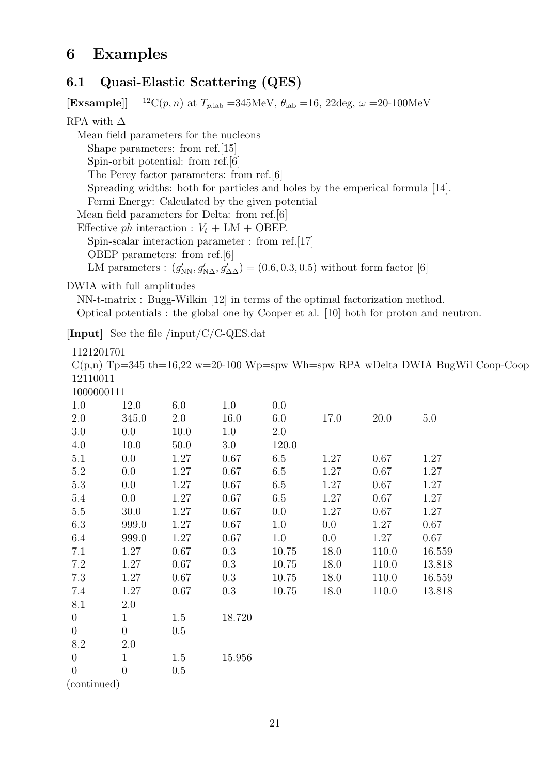## **6 Examples**

## **6.1 Quasi-Elastic Scattering (QES)**

**[Exsample]**] <sup>12</sup>C(*p, n*) at  $T_{p,lab} = 345MeV$ ,  $\theta_{lab} = 16$ , 22deg,  $\omega = 20{\text -}100MeV$ RPA with  $\Delta$ Mean field parameters for the nucleons Shape parameters: from ref.[15] Spin-orbit potential: from ref.[6] The Perey factor parameters: from ref.[6] Spreading widths: both for particles and holes by the emperical formula [14]. Fermi Energy: Calculated by the given potential Mean field parameters for Delta: from ref.[6] Effective *ph* interaction :  $V_t + LM + OBEP$ . Spin-scalar interaction parameter : from ref.[17] OBEP parameters: from ref.[6] LM parameters :  $(g'_{NN}, g'_{N\Delta}, g'_{\Delta\Delta}) = (0.6, 0.3, 0.5)$  without form factor [6]

DWIA with full amplitudes

NN-t-matrix : Bugg-Wilkin [12] in terms of the optimal factorization method. Optical potentials : the global one by Cooper et al. [10] both for proton and neutron.

**[Input]** See the file /input/C/C-QES.dat

1121201701  $C(p,n)$  Tp=345 th=16,22 w=20-100 Wp=spw Wh=spw RPA wDelta DWIA BugWil Coop-Coop 12110011 1000000111 1.0 12.0 6.0 1.0 0.0 2.0 345.0 2.0 16.0 6.0 17.0 20.0 5.0 3.0 0.0 10.0 1.0 2.0 4.0 10.0 50.0 3.0 120.0 5.1 0.0 1.27 0.67 6.5 1.27 0.67 1.27

| 0.1            | U.U            | 1.27 | 0.67   | 6.5   | 1.27 | 0.67  | 1.27   |
|----------------|----------------|------|--------|-------|------|-------|--------|
| 5.2            | 0.0            | 1.27 | 0.67   | 6.5   | 1.27 | 0.67  | 1.27   |
| 5.3            | 0.0            | 1.27 | 0.67   | 6.5   | 1.27 | 0.67  | 1.27   |
| 5.4            | 0.0            | 1.27 | 0.67   | 6.5   | 1.27 | 0.67  | 1.27   |
| $5.5\,$        | 30.0           | 1.27 | 0.67   | 0.0   | 1.27 | 0.67  | 1.27   |
| 6.3            | 999.0          | 1.27 | 0.67   | 1.0   | 0.0  | 1.27  | 0.67   |
| 6.4            | 999.0          | 1.27 | 0.67   | 1.0   | 0.0  | 1.27  | 0.67   |
| 7.1            | 1.27           | 0.67 | 0.3    | 10.75 | 18.0 | 110.0 | 16.559 |
| 7.2            | 1.27           | 0.67 | 0.3    | 10.75 | 18.0 | 110.0 | 13.818 |
| 7.3            | 1.27           | 0.67 | 0.3    | 10.75 | 18.0 | 110.0 | 16.559 |
| 7.4            | 1.27           | 0.67 | 0.3    | 10.75 | 18.0 | 110.0 | 13.818 |
| 8.1            | 2.0            |      |        |       |      |       |        |
| $\theta$       | $\mathbf{1}$   | 1.5  | 18.720 |       |      |       |        |
| $\overline{0}$ | $\overline{0}$ | 0.5  |        |       |      |       |        |
| 8.2            | 2.0            |      |        |       |      |       |        |
| $\theta$       | 1              | 1.5  | 15.956 |       |      |       |        |

0 0 0.5 (continued)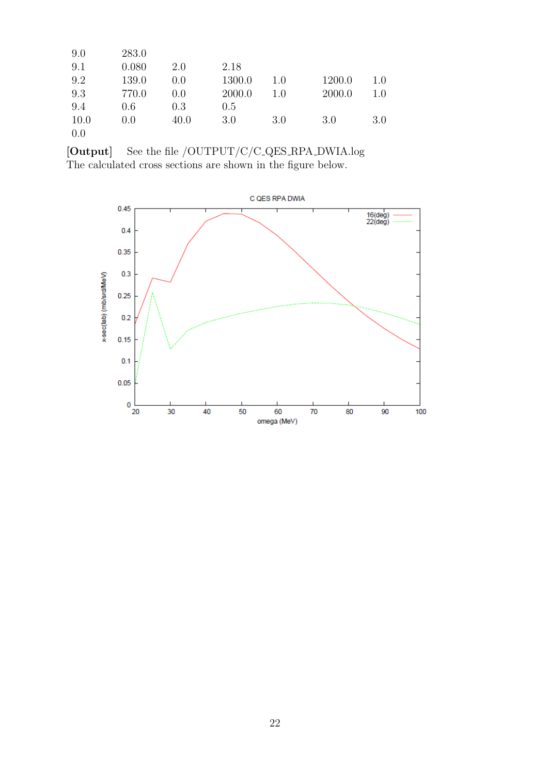| 9.0  | 283.0 |      |        |     |        |         |
|------|-------|------|--------|-----|--------|---------|
| 9.1  | 0.080 | 2.0  | 2.18   |     |        |         |
| 9.2  | 139.0 | 0.0  | 1300.0 | 1.0 | 1200.0 | 1.0     |
| 9.3  | 770.0 | 0.0  | 2000.0 | 1.0 | 2000.0 | $1.0\,$ |
| 9.4  | 0.6   | 0.3  | 0.5    |     |        |         |
| 10.0 | 0.0   | 40.0 | 3.0    | 3.0 | 3.0    | 3.0     |
| 0.0  |       |      |        |     |        |         |

**[Output]** See the file /OUTPUT/C/C QES RPA DWIA.log The calculated cross sections are shown in the figure below.

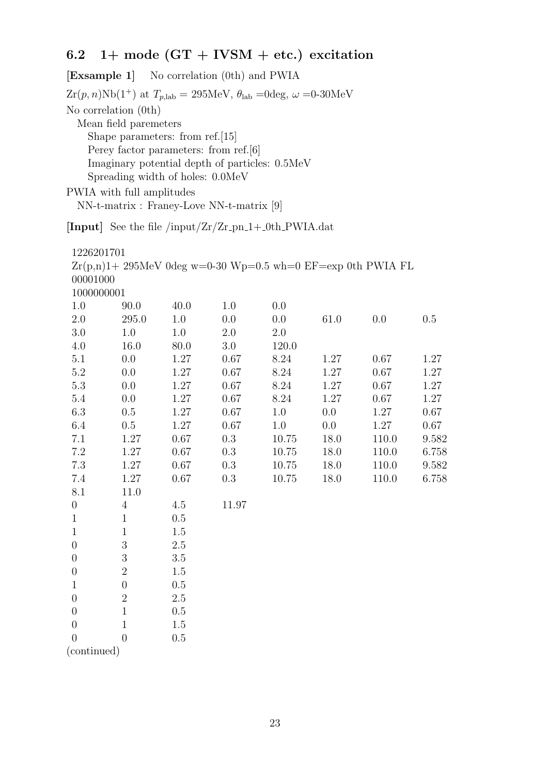## **6.2 1+ mode (GT + IVSM + etc.) excitation**

**[Exsample 1]** No correlation (0th) and PWIA  $Zr(p, n)Nb(1^+)$  at  $T_{p, lab} = 295MeV$ ,  $\theta_{lab} = 0$ deg,  $\omega = 0.30MeV$ No correlation (0th) Mean field paremeters Shape parameters: from ref.[15] Perey factor parameters: from ref.[6] Imaginary potential depth of particles: 0.5MeV Spreading width of holes: 0.0MeV

PWIA with full amplitudes

NN-t-matrix : Franey-Love NN-t-matrix [9]

[Input] See the file /input/Zr/Zr\_pn\_1+\_0th\_PWIA.dat

| 1226201701 |       |      |     |                                                              |      |     |     |
|------------|-------|------|-----|--------------------------------------------------------------|------|-----|-----|
|            |       |      |     | $Zr(p,n)1+295MeV$ 0deg w=0-30 Wp=0.5 wh=0 EF=exp 0th PWIA FL |      |     |     |
| 00001000   |       |      |     |                                                              |      |     |     |
| 1000000001 |       |      |     |                                                              |      |     |     |
| 1.0        | 90.0  | 40.0 | 1.0 | (0.0)                                                        |      |     |     |
| 2.0        | 295.0 | 1.0  | 0.0 | (0.0)                                                        | 61.0 | 0.0 | 0.5 |
| 3.0        | 1.0   | 1.0  | 2.0 | 2.0                                                          |      |     |     |
| 4.0        | 16.0  | 80.0 | 3.0 | 120.0                                                        |      |     |     |

| 4.U      | 10.U | 80.U | 3.U  | 120.0   |         |       |       |
|----------|------|------|------|---------|---------|-------|-------|
| 5.1      | 0.0  | 1.27 | 0.67 | 8.24    | 1.27    | 0.67  | 1.27  |
| 5.2      | 0.0  | 1.27 | 0.67 | 8.24    | 1.27    | 0.67  | 1.27  |
| 5.3      | 0.0  | 1.27 | 0.67 | 8.24    | 1.27    | 0.67  | 1.27  |
| 5.4      | 0.0  | 1.27 | 0.67 | 8.24    | 1.27    | 0.67  | 1.27  |
| 6.3      | 0.5  | 1.27 | 0.67 | 1.0     | $0.0\,$ | 1.27  | 0.67  |
| 6.4      | 0.5  | 1.27 | 0.67 | $1.0\,$ | 0.0     | 1.27  | 0.67  |
| 7.1      | 1.27 | 0.67 | 0.3  | 10.75   | 18.0    | 110.0 | 9.582 |
| 7.2      | 1.27 | 0.67 | 0.3  | 10.75   | 18.0    | 110.0 | 6.758 |
| 7.3      | 1.27 | 0.67 | 0.3  | 10.75   | 18.0    | 110.0 | 9.582 |
| 7.4      | 1.27 | 0.67 | 0.3  | 10.75   | 18.0    | 110.0 | 6.758 |
| $\cap$ 1 | 110  |      |      |         |         |       |       |

| 8.1              | 11.0           |         |       |
|------------------|----------------|---------|-------|
| $\overline{0}$   | $\overline{4}$ | 4.5     | 11.97 |
| $\mathbf{1}$     | 1              | 0.5     |       |
| $\mathbf{1}$     | 1              | 1.5     |       |
| $\overline{0}$   | 3              | $2.5\,$ |       |
| $\overline{0}$   | 3              | 3.5     |       |
| $\overline{0}$   | $\overline{2}$ | 1.5     |       |
| $\mathbf{1}$     | $\overline{0}$ | 0.5     |       |
| $\boldsymbol{0}$ | $\mathbf{2}$   | 2.5     |       |
| $\boldsymbol{0}$ | 1              | 0.5     |       |
| $\boldsymbol{0}$ | 1              | 1.5     |       |
| $\theta$         |                | 0.5     |       |
|                  | $\sim$         |         |       |

(continued)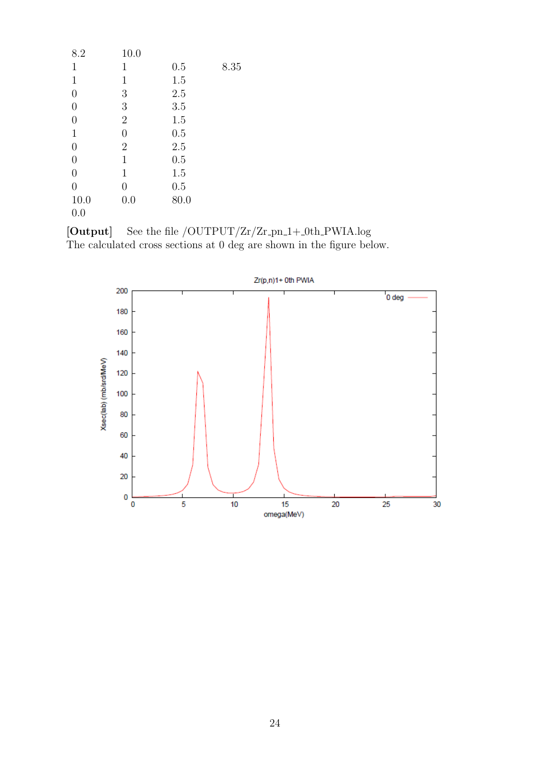| 8.2            | 10.0           |         |      |
|----------------|----------------|---------|------|
| 1              | 1              | 0.5     | 8.35 |
| $\mathbf{1}$   | $\mathbf 1$    | 1.5     |      |
| $\overline{0}$ | 3              | $2.5\,$ |      |
| $\overline{0}$ | 3              | 3.5     |      |
| $\overline{0}$ | $\mathbf{2}$   | 1.5     |      |
| $\mathbf{1}$   | $\overline{0}$ | 0.5     |      |
| $\overline{0}$ | $\mathbf{2}$   | 2.5     |      |
| $\overline{0}$ | 1              | 0.5     |      |
| $\overline{0}$ | 1              | 1.5     |      |
| $\overline{0}$ | $\overline{0}$ | 0.5     |      |
| 10.0           | 0.0            | 80.0    |      |
| 0.0            |                |         |      |

 $\left[ \textbf{Output} \right]$  See the file /OUTPUT/Zr/Zr\_pn\_1+\_0th\_PWIA.log The calculated cross sections at 0 deg are shown in the figure below.

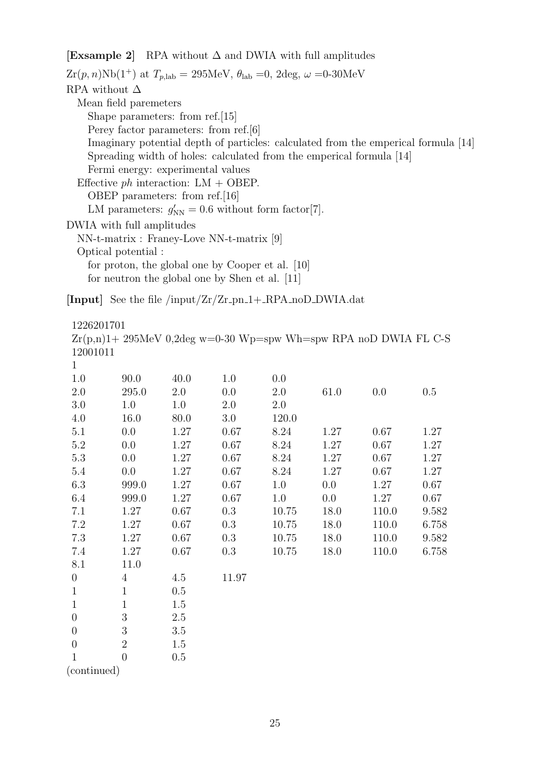#### **[Exsample 2]** RPA without ∆ and DWIA with full amplitudes

 $Zr(p, n)Nb(1^+)$  at  $T_{p, lab} = 295MeV$ ,  $\theta_{lab} = 0$ ,  $2deg$ ,  $\omega = 0.30MeV$ RPA without  $\Delta$ Mean field paremeters Shape parameters: from ref.[15] Perey factor parameters: from ref.[6] Imaginary potential depth of particles: calculated from the emperical formula [14] Spreading width of holes: calculated from the emperical formula [14] Fermi energy: experimental values Effective *ph* interaction: LM + OBEP. OBEP parameters: from ref.[16] LM parameters:  $g'_{NN} = 0.6$  without form factor[7]. DWIA with full amplitudes NN-t-matrix : Franey-Love NN-t-matrix [9] Optical potential : for proton, the global one by Cooper et al. [10] for neutron the global one by Shen et al. [11]

 $[Input]$  See the file  $/input/Zr/Zr\_pn_1 + \_RPA_noD_DWIA.dat$ 

1226201701

 $Zr(p,n)1+ 295MeV$  0,2deg w=0-30 Wp=spw Wh=spw RPA noD DWIA FL C-S 12001011

| $\mathbf{1}$     |                |      |       |       |      |       |       |
|------------------|----------------|------|-------|-------|------|-------|-------|
| 1.0              | 90.0           | 40.0 | 1.0   | 0.0   |      |       |       |
| 2.0              | 295.0          | 2.0  | 0.0   | 2.0   | 61.0 | 0.0   | 0.5   |
| 3.0              | 1.0            | 1.0  | 2.0   | 2.0   |      |       |       |
| 4.0              | 16.0           | 80.0 | 3.0   | 120.0 |      |       |       |
| 5.1              | 0.0            | 1.27 | 0.67  | 8.24  | 1.27 | 0.67  | 1.27  |
| 5.2              | 0.0            | 1.27 | 0.67  | 8.24  | 1.27 | 0.67  | 1.27  |
| 5.3              | 0.0            | 1.27 | 0.67  | 8.24  | 1.27 | 0.67  | 1.27  |
| 5.4              | 0.0            | 1.27 | 0.67  | 8.24  | 1.27 | 0.67  | 1.27  |
| 6.3              | 999.0          | 1.27 | 0.67  | 1.0   | 0.0  | 1.27  | 0.67  |
| 6.4              | 999.0          | 1.27 | 0.67  | 1.0   | 0.0  | 1.27  | 0.67  |
| 7.1              | 1.27           | 0.67 | 0.3   | 10.75 | 18.0 | 110.0 | 9.582 |
| $7.2\,$          | 1.27           | 0.67 | 0.3   | 10.75 | 18.0 | 110.0 | 6.758 |
| 7.3              | 1.27           | 0.67 | 0.3   | 10.75 | 18.0 | 110.0 | 9.582 |
| 7.4              | 1.27           | 0.67 | 0.3   | 10.75 | 18.0 | 110.0 | 6.758 |
| 8.1              | 11.0           |      |       |       |      |       |       |
| $\overline{0}$   | $\overline{4}$ | 4.5  | 11.97 |       |      |       |       |
| $\mathbf{1}$     | $\mathbf{1}$   | 0.5  |       |       |      |       |       |
| $\mathbf{1}$     | $\mathbf{1}$   | 1.5  |       |       |      |       |       |
| $\boldsymbol{0}$ | 3              | 2.5  |       |       |      |       |       |
| $\overline{0}$   | 3              | 3.5  |       |       |      |       |       |
| $\boldsymbol{0}$ | $\overline{2}$ | 1.5  |       |       |      |       |       |
| $\mathbf{1}$     | $\theta$       | 0.5  |       |       |      |       |       |
| $\sqrt{2}$       |                |      |       |       |      |       |       |

(continued)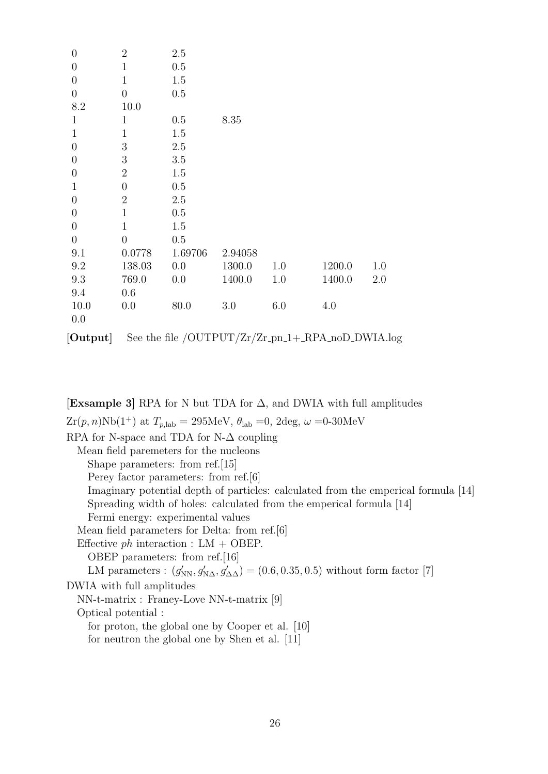| $\overline{0}$ | $\overline{2}$   | 2.5                                                                                 |         |     |        |     |
|----------------|------------------|-------------------------------------------------------------------------------------|---------|-----|--------|-----|
| $\overline{0}$ | $\mathbf{1}$     | 0.5                                                                                 |         |     |        |     |
| $\overline{0}$ | $\mathbf 1$      | 1.5                                                                                 |         |     |        |     |
| $\overline{0}$ | $\boldsymbol{0}$ | 0.5                                                                                 |         |     |        |     |
| 8.2            | 10.0             |                                                                                     |         |     |        |     |
| $\mathbf{1}$   | $\mathbf{1}$     | 0.5                                                                                 | 8.35    |     |        |     |
| $\mathbf{1}$   | $\mathbf{1}$     | 1.5                                                                                 |         |     |        |     |
| $\overline{0}$ | 3                | 2.5                                                                                 |         |     |        |     |
| $\overline{0}$ | $\boldsymbol{3}$ | 3.5                                                                                 |         |     |        |     |
| $\overline{0}$ | $\overline{2}$   | 1.5                                                                                 |         |     |        |     |
| $\mathbf{1}$   | $\overline{0}$   | 0.5                                                                                 |         |     |        |     |
| $\overline{0}$ | $\overline{2}$   | 2.5                                                                                 |         |     |        |     |
| $\overline{0}$ | $\mathbf{1}$     | 0.5                                                                                 |         |     |        |     |
| $\overline{0}$ | $\mathbf{1}$     | 1.5                                                                                 |         |     |        |     |
| $\overline{0}$ | $\overline{0}$   | 0.5                                                                                 |         |     |        |     |
| 9.1            | 0.0778           | 1.69706                                                                             | 2.94058 |     |        |     |
| 9.2            | 138.03           | 0.0                                                                                 | 1300.0  | 1.0 | 1200.0 | 1.0 |
| 9.3            | 769.0            | 0.0                                                                                 | 1400.0  | 1.0 | 1400.0 | 2.0 |
| 9.4            | 0.6              |                                                                                     |         |     |        |     |
| 10.0           | 0.0              | 80.0                                                                                | 3.0     | 6.0 | 4.0    |     |
| 0.0            |                  |                                                                                     |         |     |        |     |
| [Output]       |                  | See the file $\overline{\text{OUTPUT}/\text{Zr}/\text{Zr}}$ -pn_1+_RPA_noD_DWIA.log |         |     |        |     |

**[Exsample 3]** RPA for N but TDA for ∆, and DWIA with full amplitudes  $Zr(p, n)Nb(1^+)$  at  $T_{p, lab} = 295MeV$ ,  $\theta_{lab} = 0$ ,  $2deg$ ,  $\omega = 0.30MeV$ RPA for N-space and TDA for N- $\Delta$  coupling Mean field paremeters for the nucleons Shape parameters: from ref.[15] Perey factor parameters: from ref.[6] Imaginary potential depth of particles: calculated from the emperical formula [14] Spreading width of holes: calculated from the emperical formula [14] Fermi energy: experimental values Mean field parameters for Delta: from ref.[6] Effective *ph* interaction : LM + OBEP. OBEP parameters: from ref.[16] LM parameters :  $(g'_{NN}, g'_{N\Delta}, g'_{\Delta\Delta}) = (0.6, 0.35, 0.5)$  without form factor [7] DWIA with full amplitudes NN-t-matrix : Franey-Love NN-t-matrix [9] Optical potential : for proton, the global one by Cooper et al. [10] for neutron the global one by Shen et al. [11]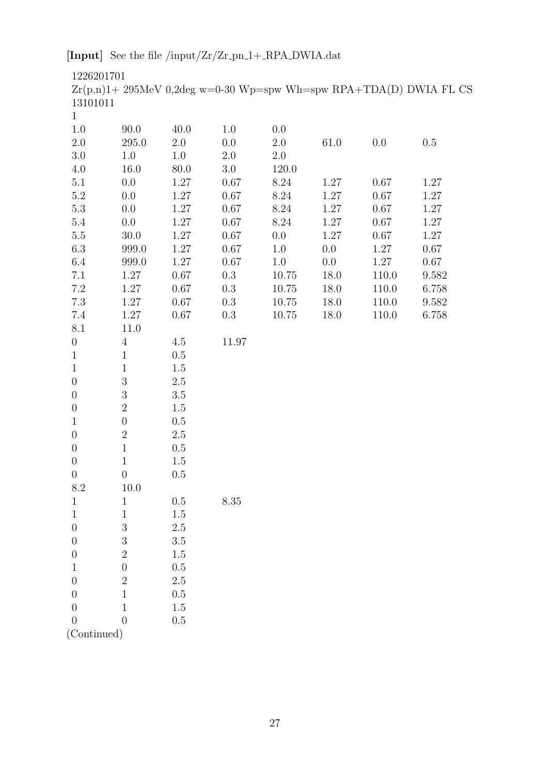[Input] See the file /input/Zr/Zr\_pn\_1+\_RPA\_DWIA.dat

1226201701

 $\rm{Zr}(p,n)1+$  295<br>MeV 0,2deg w=0-30 Wp=spw Wh=spw RPA+TDA(D) DWIA FL CS 13101011

| 0.0<br>0.67 | 0.5      |
|-------------|----------|
|             |          |
|             |          |
|             |          |
|             |          |
|             | 1.27     |
| 0.67        | 1.27     |
| 0.67        | 1.27     |
| 0.67        | $1.27\,$ |
| 0.67        | 1.27     |
| 1.27        | 0.67     |
| 1.27        | $0.67\,$ |
| 110.0       | 9.582    |
| 110.0       | 6.758    |
| 110.0       | 9.582    |
| 110.0       | 6.758    |
|             |          |
|             |          |
|             |          |
|             |          |
|             |          |
|             |          |
|             |          |
|             |          |
|             |          |
|             |          |
|             |          |
|             |          |
|             |          |
|             |          |
|             |          |
|             |          |
|             |          |
|             |          |
|             |          |
|             |          |
|             |          |
|             |          |
|             |          |
|             |          |

(Continued)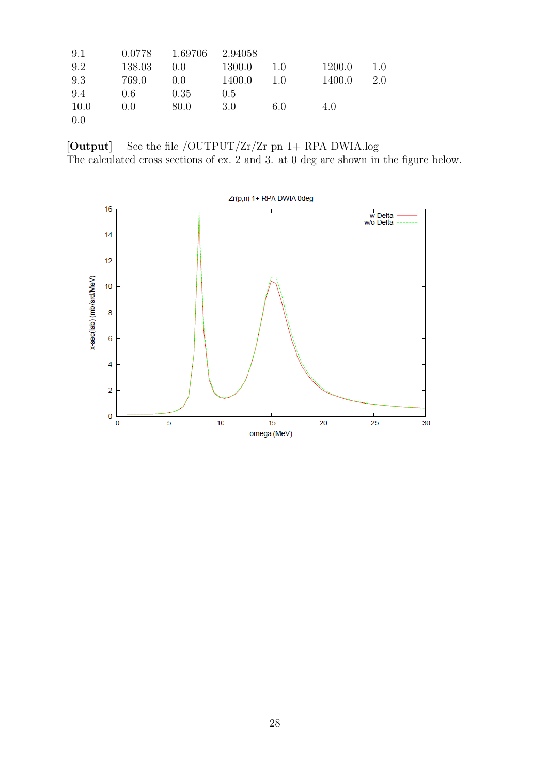| 9.1  |        | 0.0778 1.69706 2.94058 |               |      |        |     |
|------|--------|------------------------|---------------|------|--------|-----|
| 9.2  | 138.03 | 0.0                    | 1300.0        | 1.0  | 1200.0 | 1.0 |
| 9.3  | 769.0  | $0.0$ $1400.0$         |               | 1.0  | 1400.0 | 2.0 |
| 9.4  | 0.6    | 0.35                   | $0.5^{\circ}$ |      |        |     |
| 10.0 | 0.0    | - 80.0                 | - 3.0         | -6.0 | 4.0    |     |
| 0.0  |        |                        |               |      |        |     |

 $[{\bf Output}]$  See the file /OUTPUT/Zr/Zr\_pn\_1+\_RPA\_DWIA.log The calculated cross sections of ex. 2 and 3. at 0 deg are shown in the figure below.

Zr(p,n) 1+ RPA DWIA 0deg  $16$ w Delta<br>w/o Delta  $14$  $12$ x-sec(lab) (mb/srd/MeV)  $10$ 8  $\overline{6}$  $\overline{\mathbf{4}}$  $\overline{2}$  $0\frac{L}{0}$  $\overline{10}$  $\overline{25}$  $\overline{5}$  $15$  $20$  $\overline{30}$ omega (MeV)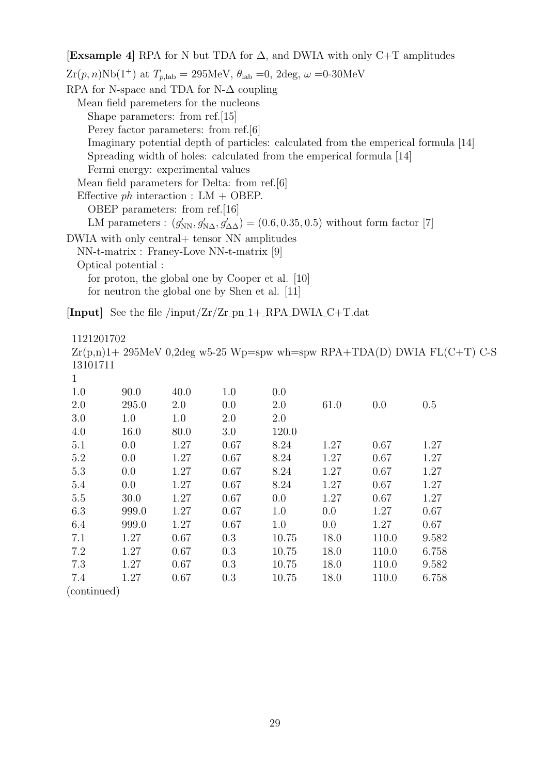**[Exsample 4]** RPA for N but TDA for ∆, and DWIA with only C+T amplitudes  $Zr(p, n)Nb(1^+)$  at  $T_{p, lab} = 295MeV$ ,  $\theta_{lab} = 0$ ,  $2deg$ ,  $\omega = 0.30MeV$ RPA for N-space and TDA for N- $\Delta$  coupling Mean field paremeters for the nucleons Shape parameters: from ref.[15] Perey factor parameters: from ref.[6] Imaginary potential depth of particles: calculated from the emperical formula [14] Spreading width of holes: calculated from the emperical formula [14] Fermi energy: experimental values Mean field parameters for Delta: from ref.[6] Effective *ph* interaction : LM + OBEP. OBEP parameters: from ref.[16] LM parameters :  $(g'_{NN}, g'_{N\Delta}, g'_{\Delta\Delta}) = (0.6, 0.35, 0.5)$  without form factor [7] DWIA with only central+ tensor NN amplitudes NN-t-matrix : Franey-Love NN-t-matrix [9] Optical potential : for proton, the global one by Cooper et al. [10] for neutron the global one by Shen et al. [11]

 $[Input]$  See the file /input/Zr/Zr\_pn\_1+\_RPA\_DWIA\_C+T.dat

1121201702

|              |       |         |      |       |      |       | $Zr(p,n)1+295MeV$ 0,2deg w5-25 Wp=spw wh=spw RPA+TDA(D) DWIA FL(C+T) C-S |  |
|--------------|-------|---------|------|-------|------|-------|--------------------------------------------------------------------------|--|
| 13101711     |       |         |      |       |      |       |                                                                          |  |
| $\mathbf{1}$ |       |         |      |       |      |       |                                                                          |  |
| 1.0          | 90.0  | 40.0    | 1.0  | 0.0   |      |       |                                                                          |  |
| 2.0          | 295.0 | 2.0     | 0.0  | 2.0   | 61.0 | 0.0   | 0.5                                                                      |  |
| 3.0          | 1.0   | $1.0\,$ | 2.0  | 2.0   |      |       |                                                                          |  |
| 4.0          | 16.0  | 80.0    | 3.0  | 120.0 |      |       |                                                                          |  |
| 5.1          | 0.0   | 1.27    | 0.67 | 8.24  | 1.27 | 0.67  | 1.27                                                                     |  |
| 5.2          | 0.0   | 1.27    | 0.67 | 8.24  | 1.27 | 0.67  | 1.27                                                                     |  |
| 5.3          | 0.0   | 1.27    | 0.67 | 8.24  | 1.27 | 0.67  | 1.27                                                                     |  |
| 5.4          | 0.0   | 1.27    | 0.67 | 8.24  | 1.27 | 0.67  | 1.27                                                                     |  |
| 5.5          | 30.0  | 1.27    | 0.67 | 0.0   | 1.27 | 0.67  | 1.27                                                                     |  |
| 6.3          | 999.0 | 1.27    | 0.67 | 1.0   | 0.0  | 1.27  | 0.67                                                                     |  |
| 6.4          | 999.0 | 1.27    | 0.67 | 1.0   | 0.0  | 1.27  | 0.67                                                                     |  |
| 7.1          | 1.27  | 0.67    | 0.3  | 10.75 | 18.0 | 110.0 | 9.582                                                                    |  |
| 7.2          | 1.27  | 0.67    | 0.3  | 10.75 | 18.0 | 110.0 | 6.758                                                                    |  |
| 7.3          | 1.27  | 0.67    | 0.3  | 10.75 | 18.0 | 110.0 | 9.582                                                                    |  |
| 7.4          | 1.27  | 0.67    | 0.3  | 10.75 | 18.0 | 110.0 | 6.758                                                                    |  |

(continued)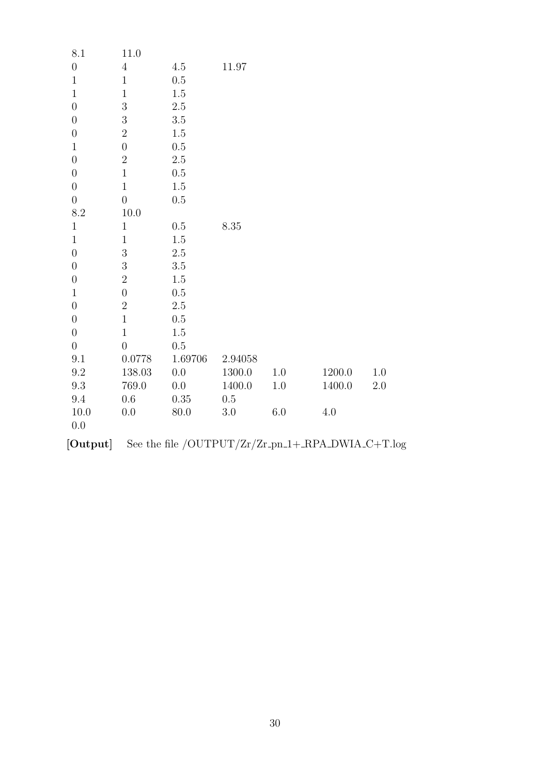| 8.1              | 11.0             |         |         |         |                                                   |         |
|------------------|------------------|---------|---------|---------|---------------------------------------------------|---------|
| $\theta$         | $\overline{4}$   | 4.5     | 11.97   |         |                                                   |         |
| $\,1$            | $1\,$            | 0.5     |         |         |                                                   |         |
| $1\,$            | $1\,$            | 1.5     |         |         |                                                   |         |
| $\boldsymbol{0}$ | 3                | $2.5\,$ |         |         |                                                   |         |
| $\boldsymbol{0}$ | $\boldsymbol{3}$ | $3.5\,$ |         |         |                                                   |         |
| $\boldsymbol{0}$ | $\overline{2}$   | 1.5     |         |         |                                                   |         |
| $1\,$            | $\overline{0}$   | $0.5\,$ |         |         |                                                   |         |
| $\boldsymbol{0}$ | $\overline{2}$   | $2.5\,$ |         |         |                                                   |         |
| $\boldsymbol{0}$ | $\,1$            | 0.5     |         |         |                                                   |         |
| $\theta$         | $\mathbf{1}$     | $1.5\,$ |         |         |                                                   |         |
| $\boldsymbol{0}$ | $\overline{0}$   | 0.5     |         |         |                                                   |         |
| 8.2              | 10.0             |         |         |         |                                                   |         |
| $\,1$            | $\mathbf{1}$     | 0.5     | 8.35    |         |                                                   |         |
| $\mathbf{1}$     | $\mathbf{1}$     | 1.5     |         |         |                                                   |         |
| $\boldsymbol{0}$ | $\boldsymbol{3}$ | $2.5\,$ |         |         |                                                   |         |
| $\boldsymbol{0}$ | 3                | $3.5\,$ |         |         |                                                   |         |
| $\boldsymbol{0}$ | $\overline{2}$   | 1.5     |         |         |                                                   |         |
| $1\,$            | $\overline{0}$   | 0.5     |         |         |                                                   |         |
| $\theta$         | $\overline{2}$   | $2.5\,$ |         |         |                                                   |         |
| $\boldsymbol{0}$ | $\mathbf{1}$     | 0.5     |         |         |                                                   |         |
| $\theta$         | $\mathbf{1}$     | 1.5     |         |         |                                                   |         |
| $\boldsymbol{0}$ | $\boldsymbol{0}$ | $0.5\,$ |         |         |                                                   |         |
| 9.1              | 0.0778           | 1.69706 | 2.94058 |         |                                                   |         |
| 9.2              | 138.03           | 0.0     | 1300.0  | 1.0     | 1200.0                                            | $1.0\,$ |
| 9.3              | 769.0            | $0.0\,$ | 1400.0  | $1.0\,$ | 1400.0                                            | $2.0\,$ |
| $\,9.4$          | $0.6\,$          | 0.35    | 0.5     |         |                                                   |         |
| 10.0             | 0.0              | 80.0    | $3.0\,$ | 6.0     | 4.0                                               |         |
| 0.0              |                  |         |         |         |                                                   |         |
| [Output]         |                  |         |         |         | See the file /OUTPUT/Zr/Zr_pn_1+_RPA_DWIA_C+T.log |         |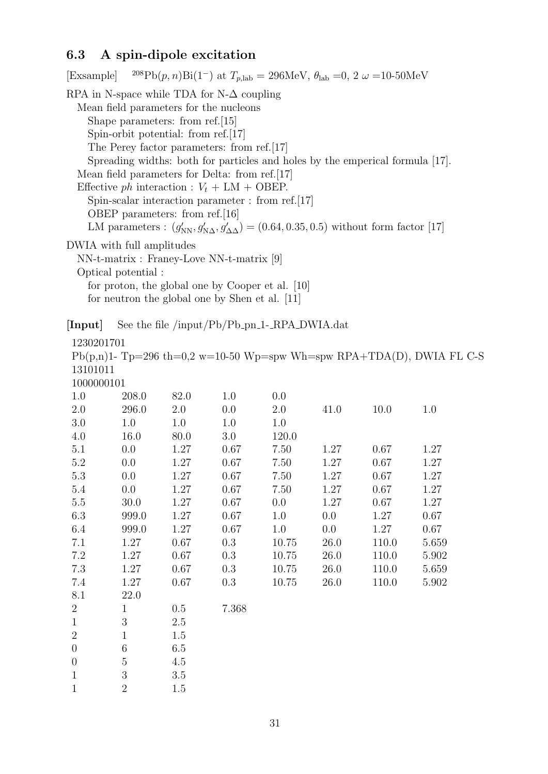## **6.3 A spin-dipole excitation**

 $1 \qquad \qquad 1.5$ 

0 6 6.5 0 5 4.5 1 3 3.5 1 2 1.5

| [Exsample] ${}^{208}Pb(p,n)Bi(1^-)$ at $T_{p,lab} = 296MeV$ , $\theta_{lab} = 0$ , $2 \omega = 10-50MeV$  |  |
|-----------------------------------------------------------------------------------------------------------|--|
| RPA in N-space while TDA for N- $\Delta$ coupling                                                         |  |
| Mean field parameters for the nucleons                                                                    |  |
| Shape parameters: from ref. [15]                                                                          |  |
| Spin-orbit potential: from ref. $[17]$                                                                    |  |
| The Perey factor parameters: from ref. [17]                                                               |  |
| Spreading widths: both for particles and holes by the emperical formula [17].                             |  |
| Mean field parameters for Delta: from ref. [17]                                                           |  |
| Effective ph interaction : $V_t + LM + OBEP$ .                                                            |  |
| Spin-scalar interaction parameter : from ref. $[17]$                                                      |  |
| OBEP parameters: from ref. [16]                                                                           |  |
| LM parameters : $(g'_{NN}, g'_{N\Delta}, g'_{\Delta\Delta}) = (0.64, 0.35, 0.5)$ without form factor [17] |  |
| DWIA with full amplitudes                                                                                 |  |
| $NN$ -t-matrix : Francy-Love NN-t-matrix [9]                                                              |  |
| Optical potential:                                                                                        |  |
| for proton, the global one by Cooper et al. [10]                                                          |  |
| for neutron the global one by Shen et al. [11]                                                            |  |
| See the file /input/Pb/Pb_pn_1-_RPA_DWIA.dat<br>[Input]                                                   |  |
| 1230201701                                                                                                |  |
| $Ph(n n)$ = T <sub>p=296</sub> th=0.2 w=10-50 Wp=spw Wh=spw RPA+TDA(D) DWIA FLC                           |  |

 $p(p,n)$ 1- Tp=296 th=0,2 w=10-50 Wp=spw Wh=spw RPA+TDA(D), DWIA FL C-S 13101011 1000000101

| TOOOOOOTOT     |              |      |       |       |      |       |       |
|----------------|--------------|------|-------|-------|------|-------|-------|
| 1.0            | 208.0        | 82.0 | 1.0   | 0.0   |      |       |       |
| 2.0            | 296.0        | 2.0  | 0.0   | 2.0   | 41.0 | 10.0  | 1.0   |
| 3.0            | 1.0          | 1.0  | 1.0   | 1.0   |      |       |       |
| 4.0            | 16.0         | 80.0 | 3.0   | 120.0 |      |       |       |
| 5.1            | 0.0          | 1.27 | 0.67  | 7.50  | 1.27 | 0.67  | 1.27  |
| 5.2            | 0.0          | 1.27 | 0.67  | 7.50  | 1.27 | 0.67  | 1.27  |
| 5.3            | 0.0          | 1.27 | 0.67  | 7.50  | 1.27 | 0.67  | 1.27  |
| 5.4            | 0.0          | 1.27 | 0.67  | 7.50  | 1.27 | 0.67  | 1.27  |
| 5.5            | 30.0         | 1.27 | 0.67  | 0.0   | 1.27 | 0.67  | 1.27  |
| 6.3            | 999.0        | 1.27 | 0.67  | 1.0   | 0.0  | 1.27  | 0.67  |
| 6.4            | 999.0        | 1.27 | 0.67  | 1.0   | 0.0  | 1.27  | 0.67  |
| 7.1            | 1.27         | 0.67 | 0.3   | 10.75 | 26.0 | 110.0 | 5.659 |
| 7.2            | 1.27         | 0.67 | 0.3   | 10.75 | 26.0 | 110.0 | 5.902 |
| 7.3            | 1.27         | 0.67 | 0.3   | 10.75 | 26.0 | 110.0 | 5.659 |
| 7.4            | 1.27         | 0.67 | 0.3   | 10.75 | 26.0 | 110.0 | 5.902 |
| 8.1            | 22.0         |      |       |       |      |       |       |
| $\overline{2}$ | $\mathbf{1}$ | 0.5  | 7.368 |       |      |       |       |
| $\mathbf{1}$   | 3            | 2.5  |       |       |      |       |       |
| $\overline{2}$ | $\mathbf{1}$ | 1.5  |       |       |      |       |       |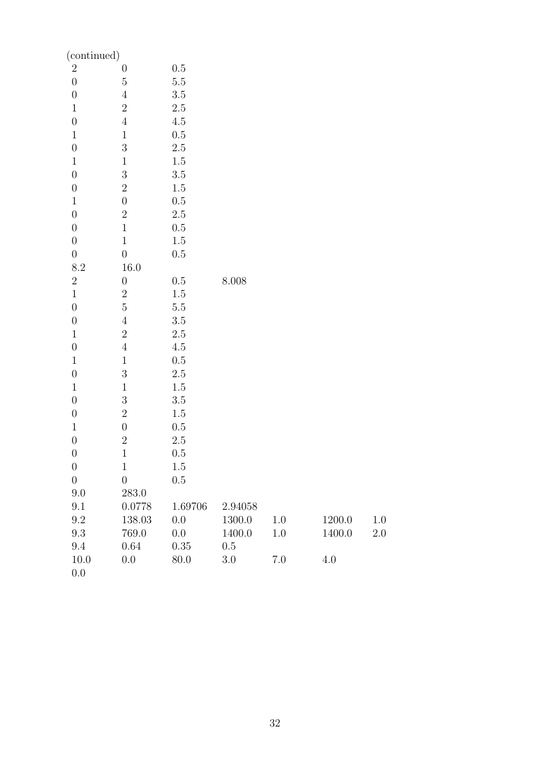| (continued)      |                  |         |           |         |         |         |
|------------------|------------------|---------|-----------|---------|---------|---------|
| $\boldsymbol{2}$ | $\boldsymbol{0}$ | $0.5\,$ |           |         |         |         |
| $\boldsymbol{0}$ | $\bf 5$          | $5.5\,$ |           |         |         |         |
| $\boldsymbol{0}$ | $\sqrt{4}$       | $3.5\,$ |           |         |         |         |
| $1\,$            | $\sqrt{2}$       | $2.5\,$ |           |         |         |         |
| $\boldsymbol{0}$ | $\sqrt{4}$       | $4.5\,$ |           |         |         |         |
| $\mathbf 1$      | $\,1$            | $0.5\,$ |           |         |         |         |
| $\boldsymbol{0}$ | $\overline{3}$   | $2.5\,$ |           |         |         |         |
| $\,1$            | $\,1$            | 1.5     |           |         |         |         |
| $\boldsymbol{0}$ | $\sqrt{3}$       | $3.5\,$ |           |         |         |         |
| $\boldsymbol{0}$ | $\sqrt{2}$       | 1.5     |           |         |         |         |
| $\,1$            | $\boldsymbol{0}$ | $0.5\,$ |           |         |         |         |
| $\boldsymbol{0}$ | $\sqrt{2}$       | $2.5\,$ |           |         |         |         |
| $\boldsymbol{0}$ | $\,1$            | 0.5     |           |         |         |         |
| $\boldsymbol{0}$ | $\mathbf 1$      | $1.5\,$ |           |         |         |         |
| $\boldsymbol{0}$ | $\boldsymbol{0}$ | 0.5     |           |         |         |         |
| 8.2              | 16.0             |         |           |         |         |         |
| $\overline{2}$   | $\boldsymbol{0}$ | 0.5     | $8.008\,$ |         |         |         |
| $\,1$            | $\sqrt{2}$       | $1.5\,$ |           |         |         |         |
| $\boldsymbol{0}$ | $\bf 5$          | $5.5\,$ |           |         |         |         |
| $\boldsymbol{0}$ | $\sqrt{4}$       | $3.5\,$ |           |         |         |         |
| $\mathbf{1}$     | $\sqrt{2}$       | $2.5\,$ |           |         |         |         |
| $\boldsymbol{0}$ | $\sqrt{4}$       | $4.5\,$ |           |         |         |         |
| $\mathbf 1$      | $\,1$            | $0.5\,$ |           |         |         |         |
| $\boldsymbol{0}$ | $\overline{3}$   | $2.5\,$ |           |         |         |         |
| $\,1$            | $\,1$            | 1.5     |           |         |         |         |
| $\boldsymbol{0}$ | $\sqrt{3}$       | $3.5\,$ |           |         |         |         |
| $\boldsymbol{0}$ | $\boldsymbol{2}$ | $1.5\,$ |           |         |         |         |
| $\mathbf{1}$     | $\boldsymbol{0}$ | $0.5\,$ |           |         |         |         |
| $\overline{0}$   | $\overline{2}$   | $2.5\,$ |           |         |         |         |
| $\overline{0}$   | $\mathbf 1$      | 0.5     |           |         |         |         |
| $\boldsymbol{0}$ | $\mathbf{1}$     | $1.5\,$ |           |         |         |         |
| $\overline{0}$   | $\boldsymbol{0}$ | $0.5\,$ |           |         |         |         |
| 9.0              | 283.0            |         |           |         |         |         |
| 9.1              | 0.0778           | 1.69706 | 2.94058   |         |         |         |
| $\,9.2$          | 138.03           | 0.0     | 1300.0    | 1.0     | 1200.0  | 1.0     |
| 9.3              | 769.0            | 0.0     | 1400.0    | $1.0\,$ | 1400.0  | $2.0\,$ |
| 9.4              | $0.64\,$         | 0.35    | $0.5\,$   |         |         |         |
| 10.0             | 0.0              | 80.0    | $3.0\,$   | $7.0\,$ | $4.0\,$ |         |
| 0.0              |                  |         |           |         |         |         |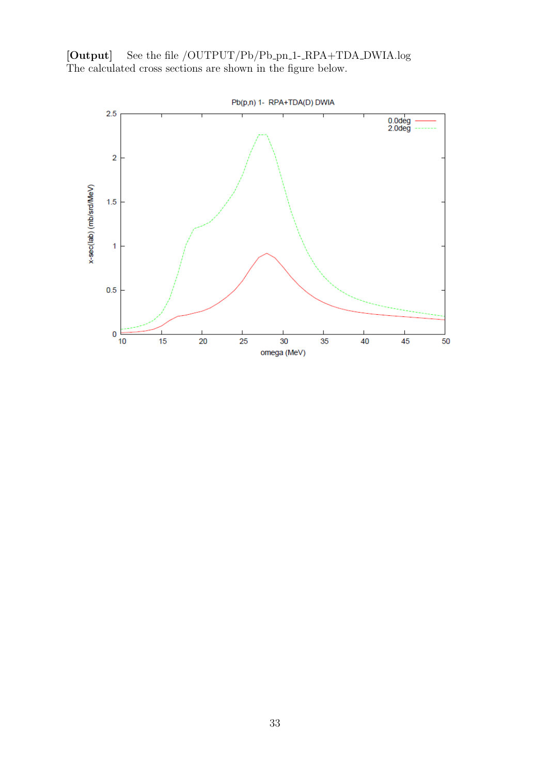

Pb(p,n) 1- RPA+TDA(D) DWIA

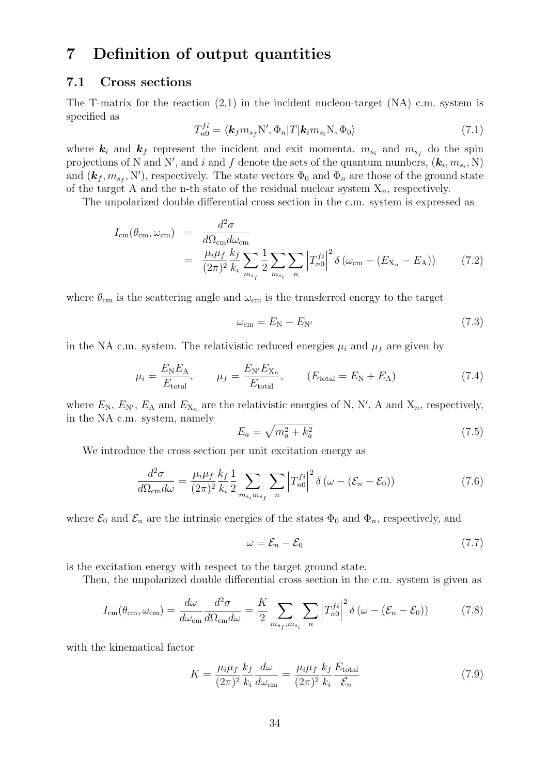## **7 Definition of output quantities**

### **7.1 Cross sections**

The T-matrix for the reaction (2.1) in the incident nucleon-target (NA) c.m. system is specified as

$$
T_{n0}^{fi} = \langle \mathbf{k}_f m_{s_f} N', \Phi_n | T | \mathbf{k}_i m_{s_i} N, \Phi_0 \rangle
$$
\n(7.1)

where  $\mathbf{k}_i$  and  $\mathbf{k}_f$  represent the incident and exit momenta,  $m_{s_i}$  and  $m_{s_f}$  do the spin projections of N and N', and *i* and f denote the sets of the quantum numbers,  $(k_i, m_{s_i}, N)$ and  $(\mathbf{k}_f, m_{s_f}, \mathbf{N}')$ , respectively. The state vectors  $\Phi_0$  and  $\Phi_n$  are those of the ground state of the target A and the n-th state of the residual nuclear system X*n*, respectively.

The unpolarized double differential cross section in the c.m. system is expressed as

$$
I_{\rm cm}(\theta_{\rm cm}, \omega_{\rm cm}) = \frac{d^2 \sigma}{d\Omega_{\rm cm} d\omega_{\rm cm}}
$$
  
= 
$$
\frac{\mu_i \mu_f}{(2\pi)^2} \frac{k_f}{k_i} \sum_{m_{s_f}} \frac{1}{2} \sum_{m_{s_i}} \sum_n \left| T_{n0}^{fi} \right|^2 \delta \left( \omega_{\rm cm} - (E_{\rm X_n} - E_{\rm A}) \right)
$$
(7.2)

where  $\theta_{\rm cm}$  is the scattering angle and  $\omega_{\rm cm}$  is the transferred energy to the target

$$
\omega_{\rm cm} = E_{\rm N} - E_{\rm N'} \tag{7.3}
$$

in the NA c.m. system. The relativistic reduced energies  $\mu_i$  and  $\mu_f$  are given by

$$
\mu_i = \frac{E_N E_A}{E_{\text{total}}}, \qquad \mu_f = \frac{E_{N'} E_{X_n}}{E_{\text{total}}}, \qquad (E_{\text{total}} = E_N + E_A)
$$
\n(7.4)

where  $E_N$ ,  $E_{N'}$ ,  $E_A$  and  $E_{X_n}$  are the relativistic energies of N, N', A and  $X_n$ , respectively, in the NA c.m. system, namely

$$
E_a = \sqrt{m_a^2 + k_a^2} \tag{7.5}
$$

We introduce the cross section per unit excitation energy as

$$
\frac{d^2\sigma}{d\Omega_{\rm cm}d\omega} = \frac{\mu_i\mu_f}{(2\pi)^2} \frac{k_f}{k_i} \frac{1}{2} \sum_{m_{s_i}m_{s_f}} \sum_n \left| T_{n0}^{fi} \right|^2 \delta\left(\omega - (\mathcal{E}_n - \mathcal{E}_0)\right)
$$
(7.6)

where  $\mathcal{E}_0$  and  $\mathcal{E}_n$  are the intrinsic energies of the states  $\Phi_0$  and  $\Phi_n$ , respectively, and

$$
\omega = \mathcal{E}_n - \mathcal{E}_0 \tag{7.7}
$$

is the excitation energy with respect to the target ground state.

Then, the unpolarized double differential cross section in the c.m. system is given as

$$
I_{\rm cm}(\theta_{\rm cm}, \omega_{\rm cm}) = \frac{d\omega}{d\omega_{\rm cm}} \frac{d^2\sigma}{d\Omega_{\rm cm} d\omega} = \frac{K}{2} \sum_{m_{s_f}, m_{s_i}} \sum_n \left| T_{n0}^{f_i} \right|^2 \delta \left( \omega - (\mathcal{E}_n - \mathcal{E}_0) \right)
$$
(7.8)

with the kinematical factor

$$
K = \frac{\mu_i \mu_f}{(2\pi)^2} \frac{k_f}{k_i} \frac{d\omega}{d\omega_{\rm cm}} = \frac{\mu_i \mu_f}{(2\pi)^2} \frac{k_f}{k_i} \frac{E_{\rm total}}{\mathcal{E}_n}
$$
(7.9)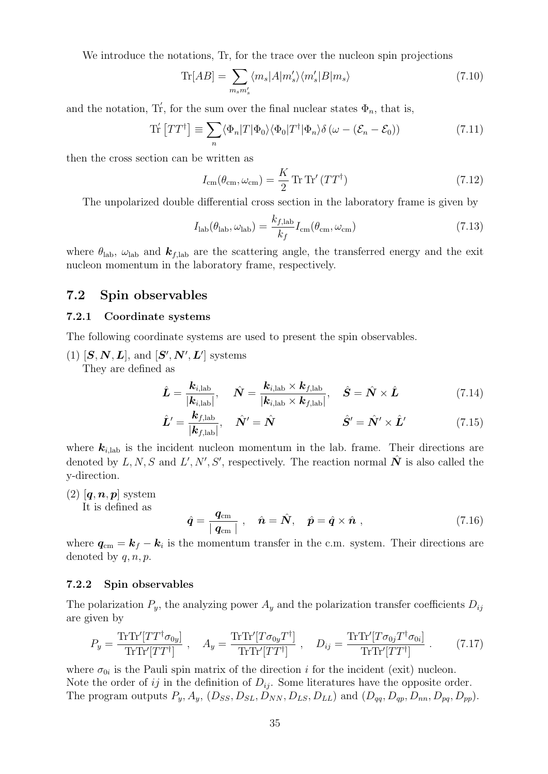We introduce the notations, Tr, for the trace over the nucleon spin projections

$$
\text{Tr}[AB] = \sum_{m_s m'_s} \langle m_s | A | m'_s \rangle \langle m'_s | B | m_s \rangle \tag{7.10}
$$

and the notation, Tr<sup>′</sup>, for the sum over the final nuclear states  $\Phi_n$ , that is,

$$
\operatorname{Tr}'\left[TT^{\dagger}\right] \equiv \sum_{n} \langle \Phi_{n} | T | \Phi_{0} \rangle \langle \Phi_{0} | T^{\dagger} | \Phi_{n} \rangle \delta \left( \omega - (\mathcal{E}_{n} - \mathcal{E}_{0}) \right) \tag{7.11}
$$

then the cross section can be written as

$$
I_{\rm cm}(\theta_{\rm cm}, \omega_{\rm cm}) = \frac{K}{2} \operatorname{Tr} \operatorname{Tr}' (TT^{\dagger}) \tag{7.12}
$$

The unpolarized double differential cross section in the laboratory frame is given by

$$
I_{\rm lab}(\theta_{\rm lab}, \omega_{\rm lab}) = \frac{k_{f, \rm lab}}{k_f} I_{\rm cm}(\theta_{\rm cm}, \omega_{\rm cm})
$$
\n(7.13)

where  $\theta_{\rm lab}$ ,  $\omega_{\rm lab}$  and  $\boldsymbol{k}_{f,lab}$  are the scattering angle, the transferred energy and the exit nucleon momentum in the laboratory frame, respectively.

### **7.2 Spin observables**

#### **7.2.1 Coordinate systems**

The following coordinate systems are used to present the spin observables.

 $(1)$   $[\mathbf{S}, \mathbf{N}, \mathbf{L}]$ , and  $[\mathbf{S}', \mathbf{N}', \mathbf{L}']$  systems They are defined as

$$
\hat{L} = \frac{k_{i,\text{lab}}}{|k_{i,\text{lab}}|}, \quad \hat{N} = \frac{k_{i,\text{lab}} \times k_{f,\text{lab}}}{|k_{i,\text{lab}} \times k_{f,\text{lab}}|}, \quad \hat{S} = \hat{N} \times \hat{L}
$$
\n(7.14)

$$
\hat{\boldsymbol{L}}' = \frac{\boldsymbol{k}_{f,\text{lab}}}{|\boldsymbol{k}_{f,\text{lab}}|}, \quad \hat{\boldsymbol{N}}' = \hat{\boldsymbol{N}} \qquad \qquad \hat{\boldsymbol{S}}' = \hat{\boldsymbol{N}}' \times \hat{\boldsymbol{L}}' \qquad (7.15)
$$

where  $k_{i,lab}$  is the incident nucleon momentum in the lab. frame. Their directions are denoted by  $L, N, S$  and  $L', N', S'$ , respectively. The reaction normal  $\hat{N}$  is also called the y-direction.

 $(2)$   $[q, n, p]$  system

It is defined as

$$
\hat{\boldsymbol{q}} = \frac{\boldsymbol{q}_{\rm cm}}{|\boldsymbol{q}_{\rm cm}|} \ , \quad \hat{\boldsymbol{n}} = \hat{\boldsymbol{N}}, \quad \hat{\boldsymbol{p}} = \hat{\boldsymbol{q}} \times \hat{\boldsymbol{n}} \ , \tag{7.16}
$$

where  $q_{cm} = k_f - k_i$  is the momentum transfer in the c.m. system. Their directions are denoted by *q, n, p*.

#### **7.2.2 Spin observables**

The polarization  $P_y$ , the analyzing power  $A_y$  and the polarization transfer coefficients  $D_{ij}$ are given by

$$
P_y = \frac{\text{Tr}\text{Tr}'[TT^{\dagger}\sigma_{0y}]}{\text{Tr}\text{Tr}'[TT^{\dagger}]}, \quad A_y = \frac{\text{Tr}\text{Tr}'[T\sigma_{0y}T^{\dagger}]}{\text{Tr}\text{Tr}'[TT^{\dagger}]}, \quad D_{ij} = \frac{\text{Tr}\text{Tr}'[T\sigma_{0j}T^{\dagger}\sigma_{0i}]}{\text{Tr}\text{Tr}'[TT^{\dagger}]}.
$$
(7.17)

where  $\sigma_{0i}$  is the Pauli spin matrix of the direction *i* for the incident (exit) nucleon. Note the order of  $ij$  in the definition of  $D_{ij}$ . Some literatures have the opposite order. The program outputs  $P_y$ ,  $A_y$ ,  $(D_{SS}, D_{SL}, D_{NN}, D_{LS}, D_{LL})$  and  $(D_{qq}, D_{qp}, D_{nn}, D_{pq}, D_{pp})$ .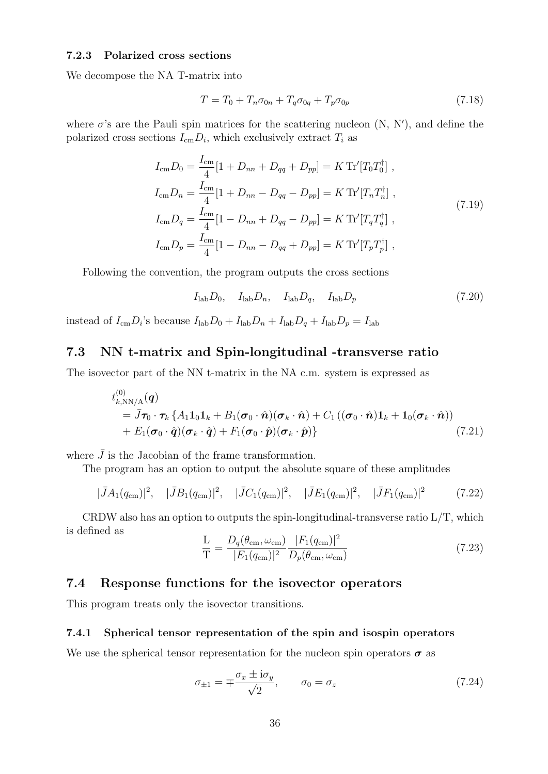#### **7.2.3 Polarized cross sections**

We decompose the NA T-matrix into

$$
T = T_0 + T_n \sigma_{0n} + T_q \sigma_{0q} + T_p \sigma_{0p} \tag{7.18}
$$

where  $\sigma$ 's are the Pauli spin matrices for the scattering nucleon  $(N, N')$ , and define the polarized cross sections  $I_{\text{cm}}D_i$ , which exclusively extract  $T_i$  as

$$
I_{\rm cm}D_0 = \frac{I_{\rm cm}}{4}[1 + D_{nn} + D_{qq} + D_{pp}] = K \operatorname{Tr}'[T_0 T_0^{\dagger}],
$$
  
\n
$$
I_{\rm cm}D_n = \frac{I_{\rm cm}}{4}[1 + D_{nn} - D_{qq} - D_{pp}] = K \operatorname{Tr}'[T_n T_n^{\dagger}],
$$
  
\n
$$
I_{\rm cm}D_q = \frac{I_{\rm cm}}{4}[1 - D_{nn} + D_{qq} - D_{pp}] = K \operatorname{Tr}'[T_q T_q^{\dagger}],
$$
  
\n
$$
I_{\rm cm}D_p = \frac{I_{\rm cm}}{4}[1 - D_{nn} - D_{qq} + D_{pp}] = K \operatorname{Tr}'[T_p T_p^{\dagger}],
$$
\n(7.19)

Following the convention, the program outputs the cross sections

$$
I_{\text{lab}}D_0, \quad I_{\text{lab}}D_n, \quad I_{\text{lab}}D_q, \quad I_{\text{lab}}D_p \tag{7.20}
$$

instead of  $I_{\text{cm}}D_i$ 's because  $I_{\text{lab}}D_0 + I_{\text{lab}}D_n + I_{\text{lab}}D_q + I_{\text{lab}}D_p = I_{\text{lab}}$ 

## **7.3 NN t-matrix and Spin-longitudinal -transverse ratio**

The isovector part of the NN t-matrix in the NA c.m. system is expressed as

$$
t_{k,\text{NN/A}}^{(0)}(\boldsymbol{q})
$$
  
=  $\bar{J}\boldsymbol{\tau}_0 \cdot \boldsymbol{\tau}_k \left\{ A_1 \mathbf{1}_0 \mathbf{1}_k + B_1 (\boldsymbol{\sigma}_0 \cdot \hat{\boldsymbol{n}}) (\boldsymbol{\sigma}_k \cdot \hat{\boldsymbol{n}}) + C_1 \left( (\boldsymbol{\sigma}_0 \cdot \hat{\boldsymbol{n}}) \mathbf{1}_k + \mathbf{1}_0 (\boldsymbol{\sigma}_k \cdot \hat{\boldsymbol{n}}) \right) + E_1 (\boldsymbol{\sigma}_0 \cdot \hat{\boldsymbol{q}}) (\boldsymbol{\sigma}_k \cdot \hat{\boldsymbol{q}}) + F_1 (\boldsymbol{\sigma}_0 \cdot \hat{\boldsymbol{p}}) (\boldsymbol{\sigma}_k \cdot \hat{\boldsymbol{p}}) \right\}$ (7.21)

where  $\bar{J}$  is the Jacobian of the frame transformation.

The program has an option to output the absolute square of these amplitudes

$$
|\bar{J}A_1(q_{\rm cm})|^2, \quad |\bar{J}B_1(q_{\rm cm})|^2, \quad |\bar{J}C_1(q_{\rm cm})|^2, \quad |\bar{J}E_1(q_{\rm cm})|^2, \quad |\bar{J}F_1(q_{\rm cm})|^2 \tag{7.22}
$$

CRDW also has an option to outputs the spin-longitudinal-transverse ratio L*/*T, which is defined as

$$
\frac{\mathcal{L}}{\mathcal{T}} = \frac{D_q(\theta_{\rm cm}, \omega_{\rm cm})}{|E_1(q_{\rm cm})|^2} \frac{|F_1(q_{\rm cm})|^2}{D_p(\theta_{\rm cm}, \omega_{\rm cm})}
$$
(7.23)

### **7.4 Response functions for the isovector operators**

This program treats only the isovector transitions.

#### **7.4.1 Spherical tensor representation of the spin and isospin operators**

We use the spherical tensor representation for the nucleon spin operators  $\sigma$  as

$$
\sigma_{\pm 1} = \mp \frac{\sigma_x \pm i \sigma_y}{\sqrt{2}}, \qquad \sigma_0 = \sigma_z \tag{7.24}
$$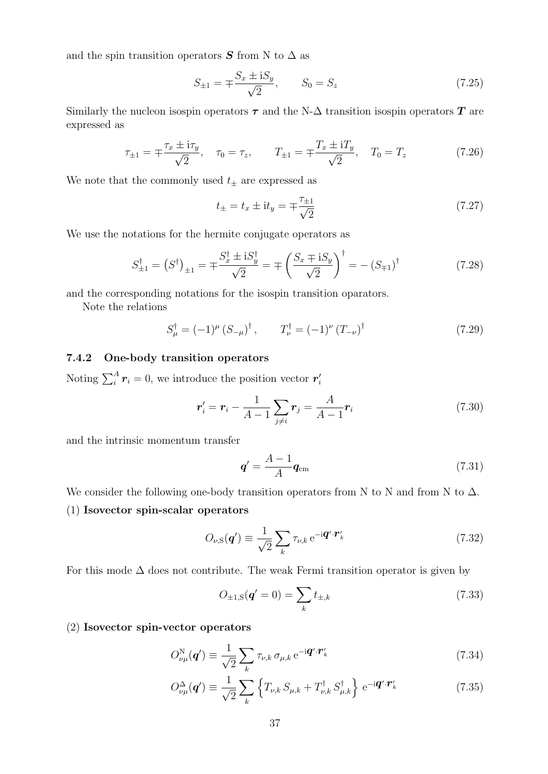and the spin transition operators  $S$  from N to  $\Delta$  as

$$
S_{\pm 1} = \mp \frac{S_x \pm i S_y}{\sqrt{2}}, \qquad S_0 = S_z \tag{7.25}
$$

Similarly the nucleon isospin operators  $\tau$  and the N- $\Delta$  transition isospin operators  $T$  are expressed as

$$
\tau_{\pm 1} = \mp \frac{\tau_x \pm i\tau_y}{\sqrt{2}}, \quad \tau_0 = \tau_z, \qquad T_{\pm 1} = \mp \frac{T_x \pm iT_y}{\sqrt{2}}, \quad T_0 = T_z \tag{7.26}
$$

We note that the commonly used  $t_{\pm}$  are expressed as

$$
t_{\pm} = t_x \pm \mathrm{i}t_y = \mp \frac{\tau_{\pm 1}}{\sqrt{2}} \tag{7.27}
$$

We use the notations for the hermite conjugate operators as

$$
S_{\pm 1}^{\dagger} = (S^{\dagger})_{\pm 1} = \pm \frac{S_x^{\dagger} \pm i S_y^{\dagger}}{\sqrt{2}} = \pm \left(\frac{S_x \mp i S_y}{\sqrt{2}}\right)^{\dagger} = -(S_{\mp 1})^{\dagger} \tag{7.28}
$$

and the corresponding notations for the isospin transition oparators.

Note the relations

$$
S_{\mu}^{\dagger} = (-1)^{\mu} (S_{-\mu})^{\dagger}, \qquad T_{\nu}^{\dagger} = (-1)^{\nu} (T_{-\nu})^{\dagger}
$$
 (7.29)

#### **7.4.2 One-body transition operators**

Noting  $\sum_{i}^{A} r_i = 0$ , we introduce the position vector  $r'_i$ 

$$
\boldsymbol{r}'_i = \boldsymbol{r}_i - \frac{1}{A-1} \sum_{j \neq i} \boldsymbol{r}_j = \frac{A}{A-1} \boldsymbol{r}_i \tag{7.30}
$$

and the intrinsic momentum transfer

$$
\boldsymbol{q}' = \frac{A-1}{A}\boldsymbol{q}_{\text{cm}}\tag{7.31}
$$

We consider the following one-body transition operators from N to N and from N to  $\Delta$ .

(1) **Isovector spin-scalar operators**

$$
O_{\nu,\mathrm{S}}(\boldsymbol{q}') \equiv \frac{1}{\sqrt{2}} \sum_{k} \tau_{\nu,k} \,\mathrm{e}^{-\mathrm{i}\boldsymbol{q}' \cdot \boldsymbol{r}'_{k}} \tag{7.32}
$$

For this mode  $\Delta$  does not contribute. The weak Fermi transition operator is given by

$$
O_{\pm 1,S}(\mathbf{q}' = 0) = \sum_{k} t_{\pm,k} \tag{7.33}
$$

#### (2) **Isovector spin-vector operators**

$$
O_{\nu\mu}^{\rm N}(\boldsymbol{q}') \equiv \frac{1}{\sqrt{2}} \sum_{k} \tau_{\nu,k} \,\sigma_{\mu,k} \,\mathrm{e}^{-\mathrm{i}\boldsymbol{q}' \cdot \boldsymbol{r}'_{k}} \tag{7.34}
$$

$$
O_{\nu\mu}^{\Delta}(\mathbf{q}') \equiv \frac{1}{\sqrt{2}} \sum_{k} \left\{ T_{\nu,k} S_{\mu,k} + T_{\nu,k}^{\dagger} S_{\mu,k}^{\dagger} \right\} e^{-i\mathbf{q}' \cdot \mathbf{r}'_{k}}
$$
(7.35)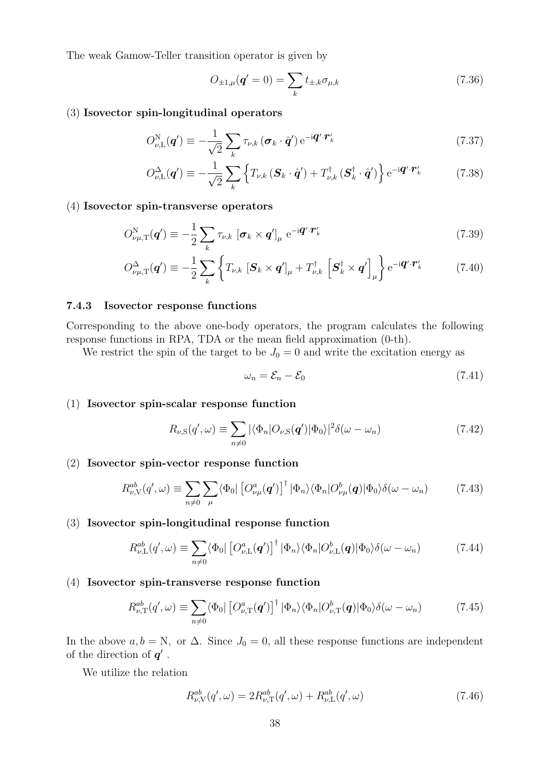The weak Gamow-Teller transition operator is given by

$$
O_{\pm 1,\mu}(\mathbf{q}' = 0) = \sum_{k} t_{\pm,k} \sigma_{\mu,k} \tag{7.36}
$$

#### (3) **Isovector spin-longitudinal operators**

$$
O_{\nu,\mathrm{L}}^{\mathrm{N}}(\boldsymbol{q}') \equiv -\frac{1}{\sqrt{2}} \sum_{k} \tau_{\nu,k} (\boldsymbol{\sigma}_{k} \cdot \hat{\boldsymbol{q}}') e^{-i\boldsymbol{q}' \cdot \boldsymbol{r}'_{k}}
$$
(7.37)

$$
O_{\nu,\mathrm{L}}^{\Delta}(\mathbf{q}') \equiv -\frac{1}{\sqrt{2}} \sum_{k} \left\{ T_{\nu,k} \left( \mathbf{S}_{k} \cdot \hat{\mathbf{q}}' \right) + T_{\nu,k}^{\dagger} \left( \mathbf{S}_{k}^{\dagger} \cdot \hat{\mathbf{q}}' \right) \right\} e^{-i\mathbf{q}' \cdot \mathbf{r}'_{k}}
$$
(7.38)

#### (4) **Isovector spin-transverse operators**

$$
O_{\nu\mu,\mathrm{T}}^{\mathrm{N}}(\boldsymbol{q}') \equiv -\frac{1}{2} \sum_{k} \tau_{\nu,k} \left[ \boldsymbol{\sigma}_{k} \times \boldsymbol{q}' \right]_{\mu} e^{-i\boldsymbol{q}' \cdot \boldsymbol{r}'_{k}}
$$
(7.39)

$$
O_{\nu\mu,\mathrm{T}}^{\Delta}(\boldsymbol{q}') \equiv -\frac{1}{2} \sum_{k} \left\{ T_{\nu,k} \left[ \boldsymbol{S}_{k} \times \boldsymbol{q}' \right]_{\mu} + T_{\nu,k}^{\dagger} \left[ \boldsymbol{S}_{k}^{\dagger} \times \boldsymbol{q}' \right]_{\mu} \right\} e^{-i\boldsymbol{q}' \cdot \boldsymbol{r}'_{k}}
$$
(7.40)

#### **7.4.3 Isovector response functions**

Corresponding to the above one-body operators, the program calculates the following response functions in RPA, TDA or the mean field approximation (0-th).

We restrict the spin of the target to be  $J_0 = 0$  and write the excitation energy as

$$
\omega_n = \mathcal{E}_n - \mathcal{E}_0 \tag{7.41}
$$

#### (1) **Isovector spin-scalar response function**

$$
R_{\nu,\mathrm{S}}(q',\omega) \equiv \sum_{n \neq 0} |\langle \Phi_n | O_{\nu,\mathrm{S}}(q') | \Phi_0 \rangle|^2 \delta(\omega - \omega_n) \tag{7.42}
$$

#### (2) **Isovector spin-vector response function**

$$
R_{\nu,\mathcal{V}}^{ab}(q',\omega) \equiv \sum_{n \neq 0} \sum_{\mu} \langle \Phi_0 | \left[ O_{\nu\mu}^a(q') \right]^\dagger | \Phi_n \rangle \langle \Phi_n | O_{\nu\mu}^b(q) | \Phi_0 \rangle \delta(\omega - \omega_n) \tag{7.43}
$$

#### (3) **Isovector spin-longitudinal response function**

$$
R_{\nu,\mathcal{L}}^{ab}(q',\omega) \equiv \sum_{n \neq 0} \langle \Phi_0 | \left[ O_{\nu,\mathcal{L}}^a(q') \right]^\dagger | \Phi_n \rangle \langle \Phi_n | O_{\nu,\mathcal{L}}^b(q) | \Phi_0 \rangle \delta(\omega - \omega_n) \tag{7.44}
$$

#### (4) **Isovector spin-transverse response function**

$$
R_{\nu,\mathrm{T}}^{ab}(q',\omega) \equiv \sum_{n \neq 0} \langle \Phi_0 | \left[ O_{\nu,\mathrm{T}}^a(q') \right]^\dagger | \Phi_n \rangle \langle \Phi_n | O_{\nu,\mathrm{T}}^b(q) | \Phi_0 \rangle \delta(\omega - \omega_n) \tag{7.45}
$$

In the above  $a, b = N$ , or  $\Delta$ . Since  $J_0 = 0$ , all these response functions are independent of the direction of *q ′* .

We utilize the relation

$$
R_{\nu,\text{V}}^{ab}(q',\omega) = 2R_{\nu,\text{T}}^{ab}(q',\omega) + R_{\nu,\text{L}}^{ab}(q',\omega)
$$
\n(7.46)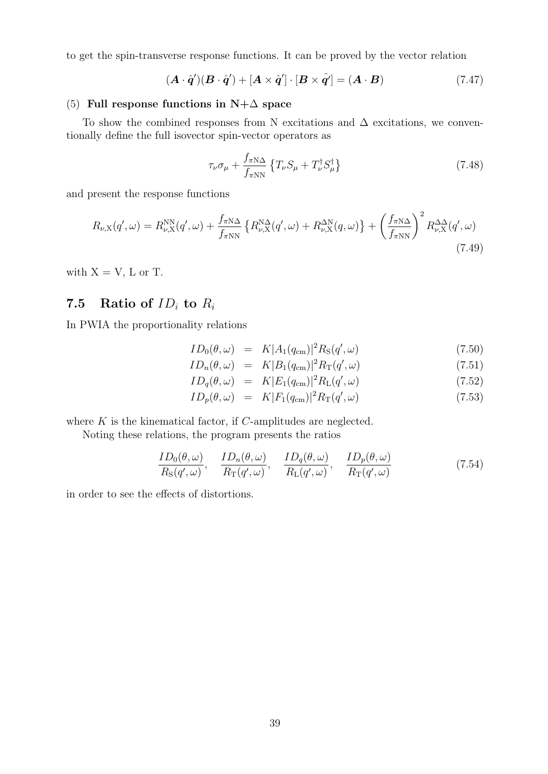to get the spin-transverse response functions. It can be proved by the vector relation

$$
(\mathbf{A} \cdot \hat{\mathbf{q}}')(\mathbf{B} \cdot \hat{\mathbf{q}}') + [\mathbf{A} \times \hat{\mathbf{q}}'] \cdot [\mathbf{B} \times \hat{\mathbf{q}}'] = (\mathbf{A} \cdot \mathbf{B}) \tag{7.47}
$$

#### (5) **Full response functions in N+**∆ **space**

To show the combined responses from N excitations and  $\Delta$  excitations, we conventionally define the full isovector spin-vector operators as

$$
\tau_{\nu}\sigma_{\mu} + \frac{f_{\pi N\Delta}}{f_{\pi NN}} \left\{ T_{\nu}S_{\mu} + T_{\nu}^{\dagger}S_{\mu}^{\dagger} \right\} \tag{7.48}
$$

and present the response functions

$$
R_{\nu,X}(q',\omega) = R_{\nu,X}^{NN}(q',\omega) + \frac{f_{\pi N\Delta}}{f_{\pi NN}} \left\{ R_{\nu,X}^{N\Delta}(q',\omega) + R_{\nu,X}^{\Delta N}(q,\omega) \right\} + \left( \frac{f_{\pi N\Delta}}{f_{\pi NN}} \right)^2 R_{\nu,X}^{\Delta\Delta}(q',\omega)
$$
\n(7.49)

with  $X = V$ , L or T.

## **7.5** Ratio of  $ID_i$  to  $R_i$

In PWIA the proportionality relations

$$
ID_0(\theta, \omega) = K |A_1(q_{\rm cm})|^2 R_{\rm S}(q', \omega)
$$
\n(7.50)

$$
ID_n(\theta, \omega) = K|B_1(q_{\text{cm}})|^2 R_\text{T}(q', \omega) \tag{7.51}
$$

$$
ID_q(\theta, \omega) = K |E_1(q_{\text{cm}})|^2 R_{\text{L}}(q', \omega) \tag{7.52}
$$

$$
ID_p(\theta, \omega) = K |F_1(q_{\text{cm}})|^2 R_\text{T}(q', \omega) \tag{7.53}
$$

where *K* is the kinematical factor, if *C*-amplitudes are neglected.

Noting these relations, the program presents the ratios

$$
\frac{ID_0(\theta,\omega)}{R_S(q',\omega)}, \quad \frac{ID_n(\theta,\omega)}{R_T(q',\omega)}, \quad \frac{ID_q(\theta,\omega)}{R_L(q',\omega)}, \quad \frac{ID_p(\theta,\omega)}{R_T(q',\omega)}\tag{7.54}
$$

in order to see the effects of distortions.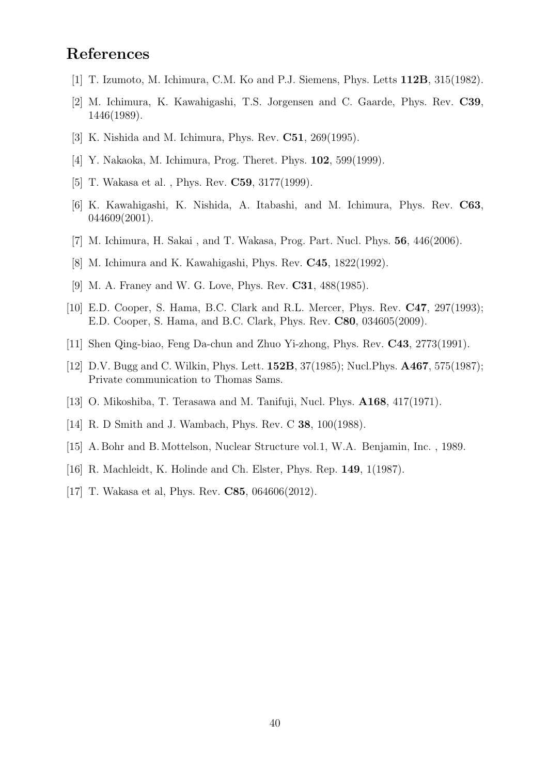## **References**

- [1] T. Izumoto, M. Ichimura, C.M. Ko and P.J. Siemens, Phys. Letts **112B**, 315(1982).
- [2] M. Ichimura, K. Kawahigashi, T.S. Jorgensen and C. Gaarde, Phys. Rev. **C39**, 1446(1989).
- [3] K. Nishida and M. Ichimura, Phys. Rev. **C51**, 269(1995).
- [4] Y. Nakaoka, M. Ichimura, Prog. Theret. Phys. **102**, 599(1999).
- [5] T. Wakasa et al. , Phys. Rev. **C59**, 3177(1999).
- [6] K. Kawahigashi, K. Nishida, A. Itabashi, and M. Ichimura, Phys. Rev. **C63**, 044609(2001).
- [7] M. Ichimura, H. Sakai , and T. Wakasa, Prog. Part. Nucl. Phys. **56**, 446(2006).
- [8] M. Ichimura and K. Kawahigashi, Phys. Rev. **C45**, 1822(1992).
- [9] M. A. Franey and W. G. Love, Phys. Rev. **C31**, 488(1985).
- [10] E.D. Cooper, S. Hama, B.C. Clark and R.L. Mercer, Phys. Rev. **C47**, 297(1993); E.D. Cooper, S. Hama, and B.C. Clark, Phys. Rev. **C80**, 034605(2009).
- [11] Shen Qing-biao, Feng Da-chun and Zhuo Yi-zhong, Phys. Rev. **C43**, 2773(1991).
- [12] D.V. Bugg and C. Wilkin, Phys. Lett. **152B**, 37(1985); Nucl.Phys. **A467**, 575(1987); Private communication to Thomas Sams.
- [13] O. Mikoshiba, T. Terasawa and M. Tanifuji, Nucl. Phys. **A168**, 417(1971).
- [14] R. D Smith and J. Wambach, Phys. Rev. C **38**, 100(1988).
- [15] A. Bohr and B. Mottelson, Nuclear Structure vol.1, W.A. Benjamin, Inc. , 1989.
- [16] R. Machleidt, K. Holinde and Ch. Elster, Phys. Rep. **149**, 1(1987).
- [17] T. Wakasa et al, Phys. Rev. **C85**, 064606(2012).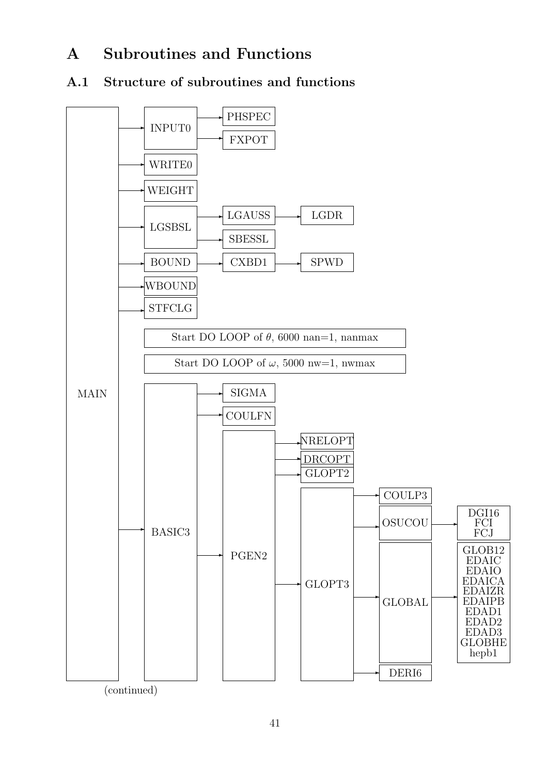# **A Subroutines and Functions**

## **A.1 Structure of subroutines and functions**

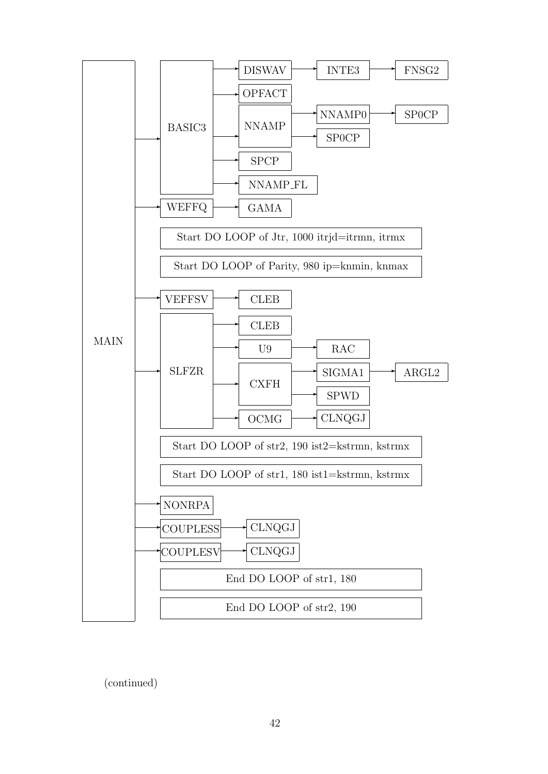

(continued)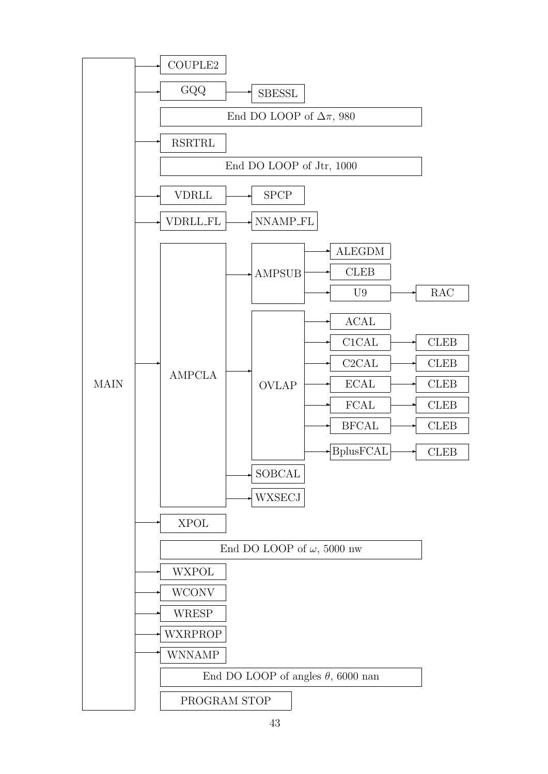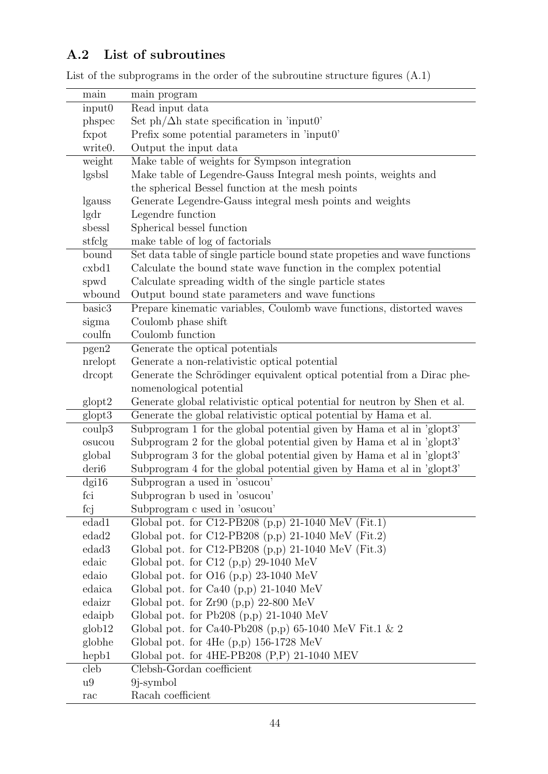## **A.2 List of subroutines**

| main                 | main program                                                               |
|----------------------|----------------------------------------------------------------------------|
| input0               | Read input data                                                            |
| phspec               | Set $ph/\Delta h$ state specification in 'input0'                          |
| fxpot                | Prefix some potential parameters in 'input0'                               |
| write <sub>0</sub> . | Output the input data                                                      |
| weight               | Make table of weights for Sympson integration                              |
| lgsbsl               | Make table of Legendre-Gauss Integral mesh points, weights and             |
|                      | the spherical Bessel function at the mesh points                           |
| lgauss               | Generate Legendre-Gauss integral mesh points and weights                   |
| lgdr                 | Legendre function                                                          |
| sbessl               | Spherical bessel function                                                  |
| stfclg               | make table of log of factorials                                            |
| bound                | Set data table of single particle bound state propeties and wave functions |
| cxbd1                | Calculate the bound state wave function in the complex potential           |
| spwd                 | Calculate spreading width of the single particle states                    |
| wbound               | Output bound state parameters and wave functions                           |
| basic <sub>3</sub>   | Prepare kinematic variables, Coulomb wave functions, distorted waves       |
| sigma                | Coulomb phase shift                                                        |
| coulfn               | Coulomb function                                                           |
| pgen2                | Generate the optical potentials                                            |
| nrelopt              | Generate a non-relativistic optical potential                              |
| drcopt               | Generate the Schrödinger equivalent optical potential from a Dirac phe-    |
|                      | nomenological potential                                                    |
| $g$ lopt $2$         | Generate global relativistic optical potential for neutron by Shen et al.  |
| glopt3               | Generate the global relativistic optical potential by Hama et al.          |
| $\cosh 3$            | Subprogram 1 for the global potential given by Hama et al in 'glopt3'      |
| osucou               | Subprogram 2 for the global potential given by Hama et al in 'glopt3'      |
| global               | Subprogram 3 for the global potential given by Hama et al in 'glopt3'      |
| deri <sub>6</sub>    | Subprogram 4 for the global potential given by Hama et al in 'glopt3'      |
| $\text{d}$ gi $16$   | Subprogram a used in 'osucou'                                              |
| fci                  | Subprogram b used in 'osucou'                                              |
| fcj                  | Subprogram c used in 'osucou'                                              |
| edad1                | Global pot. for C12-PB208 (p,p) 21-1040 MeV (Fit.1)                        |
| edad2                | Global pot. for C12-PB208 $(p, p)$ 21-1040 MeV (Fit.2)                     |
| edad <sub>3</sub>    | Global pot. for C12-PB208 $(p, p)$ 21-1040 MeV (Fit.3)                     |
| edaic                | Global pot. for C12 $(p, p)$ 29-1040 MeV                                   |
| edaio                | Global pot. for $O16$ (p,p) 23-1040 MeV                                    |
| edaica               | Global pot. for Ca40 $(p, p)$ 21-1040 MeV                                  |
| edaizr               | Global pot. for $Zr90$ (p,p) 22-800 MeV                                    |
| edaiph               | Global pot. for Pb208 $(p,p)$ 21-1040 MeV                                  |
| glob12               | Global pot. for Ca40-Pb208 (p,p) 65-1040 MeV Fit.1 & 2                     |
| globhe               | Global pot. for 4He $(p, p)$ 156-1728 MeV                                  |
| hepb1                | Global pot. for $4HE-PB208$ $(P,P)$ 21-1040 MEV                            |
| cleb                 | Clebsh-Gordan coefficient                                                  |
| u <sub>9</sub>       | 9 <i>j</i> -symbol                                                         |
| rac                  | Racah coefficient                                                          |

List of the subprograms in the order of the subroutine structure figures (A.1)